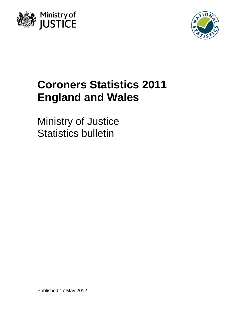



# **Coroners Statistics 2011 England and Wales**

Ministry of Justice Statistics bulletin

Published 17 May 2012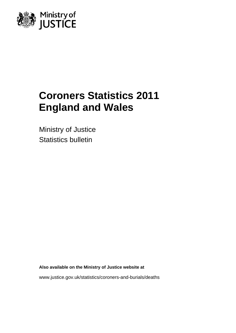

# **Coroners Statistics 2011 England and Wales**

Ministry of Justice Statistics bulletin

**Also available on the Ministry of Justice website at** 

www.justice.gov.uk/statistics/coroners-and-burials/deaths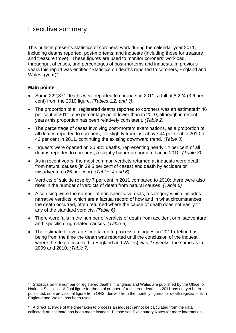## Executive summary

This bulletin presents statistics of coroners' work during the calendar year 2011, including deaths reported, post-mortems, and inquests (including those for treasure and treasure trove). These figures are used to monitor coroners' workload, throughput of cases, and percentages of post-mortems and inquests. In previous years this report was entitled "Statistics on deaths reported to coroners, England and Wales, (year)".

## **Main points**

1

- Some 222,371 deaths were reported to coroners in 2011, a fall of 8,224 (3.6 per cent) from the 2010 figure. *(Tables 1,2, and 3)*
- The proportion of all registered deaths reported to coroners was an estimated<sup>[1](#page-2-0)</sup> 46 per cent in 2011, one percentage point lower than in 2010, although in recent years this proportion has been relatively consistent. *(Table 2)*
- The percentage of cases involving post-mortem examinations, as a proportion of all deaths reported to coroners, fell slightly from just above 44 per cent in 2010 to 42 per cent in 2011, continuing the existing downward trend. *(Table 3)*
- Inquests were opened on 30,981 deaths, representing nearly 14 per cent of all deaths reported to coroners, a slightly higher proportion than in 2010. *(Table 3)*
- As in recent years, the most common verdicts returned at inquests were death from natural causes (in 29.5 per cent of cases) and death by accident or misadventure (26 per cent). *(Tables 4 and 6)*
- Verdicts of suicide rose by 7 per cent in 2011 compared to 2010; there were also rises in the number of verdicts of death from natural causes. *(Table 6)*
- Also rising were the number of non-specific verdicts, a category which includes narrative verdicts, which are a factual record of how and in what circumstances the death occurred, often returned where the cause of death does not easily fit any of the standard verdicts. *(Table 6)*
- There were falls in the number of verdicts of death from accident or misadventure, and specific drug-related causes. *(Table 6)*
- The estimated<sup>[2](#page-2-1)</sup> average time taken to process an inquest in 2011 (defined as being from the time the death was reported until the conclusion of the inquest, where the death occurred in England and Wales) was 27 weeks, the same as in 2009 and 2010. *(Table 7)*

<span id="page-2-0"></span> $1$  Statistics on the number of registered deaths in England and Wales are published by the Office for National Statistics. A final figure for the total number of registered deaths in 2011 has not yet been published, so a provisional figure from ONS, derived from the monthly figures for death registrations in England and Wales, has been used.

<span id="page-2-1"></span> $2^2$  A direct average of the time taken to process an inquest cannot be calculated from the data collected; an estimate has been made instead. Please see Explanatory Notes for more information.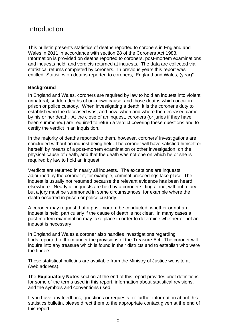## Introduction

This bulletin presents statistics of deaths reported to coroners in England and Wales in 2011 in accordance with section 28 of the Coroners Act 1988. Information is provided on deaths reported to coroners, post-mortem examinations and inquests held, and verdicts returned at inquests. The data are collected via statistical returns completed by coroners. In previous years this report was entitled "Statistics on deaths reported to coroners, England and Wales, (year)".

## **Background**

In England and Wales, coroners are required by law to hold an inquest into violent, unnatural, sudden deaths of unknown cause, and those deaths which occur in prison or police custody. When investigating a death, it is the coroner's duty to establish who the deceased was, and how, when and where the deceased came by his or her death. At the close of an inquest, coroners (or juries if they have been summoned) are required to return a verdict covering these questions and to certify the verdict in an inquisition.

In the majority of deaths reported to them, however, coroners' investigations are concluded without an inquest being held. The coroner will have satisfied himself or herself, by means of a post-mortem examination or other investigation, on the physical cause of death, and that the death was not one on which he or she is required by law to hold an inquest.

Verdicts are returned in nearly all inquests. The exceptions are inquests adjourned by the coroner if, for example, criminal proceedings take place. The inquest is usually not resumed because the relevant evidence has been heard elsewhere. Nearly all inquests are held by a coroner sitting alone, without a jury, but a jury must be summoned in some circumstances, for example where the death occurred in prison or police custody.

A coroner may request that a post-mortem be conducted, whether or not an inquest is held, particularly if the cause of death is not clear. In many cases a post-mortem examination may take place in order to determine whether or not an inquest is necessary.

In England and Wales a coroner also handles investigations regarding finds reported to them under the provisions of the Treasure Act. The coroner will inquire into any treasure which is found in their districts and to establish who were the finders.

These statistical bulletins are available from the Ministry of Justice website at (web address).

The **Explanatory Notes** section at the end of this report provides brief definitions for some of the terms used in this report, information about statistical revisions, and the symbols and conventions used.

If you have any feedback, questions or requests for further information about this statistics bulletin, please direct them to the appropriate contact given at the end of this report.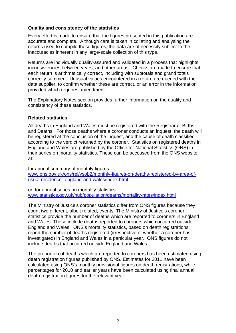## **Quality and consistency of the statistics**

Every effort is made to ensure that the figures presented in this publication are accurate and complete. Although care is taken in collating and analysing the returns used to compile these figures, the data are of necessity subject to the inaccuracies inherent in any large-scale collection of this type.

Returns are individually quality-assured and validated in a process that highlights inconsistencies between years, and other areas. Checks are made to ensure that each return is arithmetically correct, including with subtotals and grand totals correctly summed. Unusual values encountered in a return are queried with the data supplier, to confirm whether these are correct, or an error in the information provided which requires amendment.

The Explanatory Notes section provides further information on the quality and consistency of these statistics.

## **Related statistics**

All deaths in England and Wales must be registered with the Registrar of Births and Deaths. For those deaths where a coroner conducts an inquest, the death will be registered at the conclusion of the inquest, and the cause of death classified according to the verdict returned by the coroner. Statistics on registered deaths in England and Wales are published by the Office for National Statistics (ONS) in their series on mortality statistics. These can be accessed from the ONS website at:

for annual summary of monthly figures: [www.ons.gov.uk/ons/rel/vsob2/monthly-figures-on-deaths-registered-by-area-of](http://www.ons.gov.uk/ons/rel/vsob2/monthly-figures-on-deaths-registered-by-area-of-usual-residence--england-and-wales/index.html)[usual-residence--england-and-wales/index.html](http://www.ons.gov.uk/ons/rel/vsob2/monthly-figures-on-deaths-registered-by-area-of-usual-residence--england-and-wales/index.html)

or, for annual series on mortality statistics: [www.statistics.gov.uk/hub/population/deaths/mortality-rates/index.html](http://www.statistics.gov.uk/hub/population/deaths/mortality-rates/index.html)

The Ministry of Justice's coroner statistics differ from ONS figures because they count two different, albeit related, events. The Ministry of Justice's coroner statistics provide the number of deaths which are reported to coroners in England and Wales. These include deaths reported to coroners which occurred outside England and Wales. ONS's mortality statistics, based on death registrations, report the number of deaths registered (irrespective of whether a coroner has investigated) in England and Wales in a particular year. ONS figures do not include deaths that occurred outside England and Wales.

The proportion of deaths which are reported to coroners has been estimated using death registration figures published by ONS. Estimates for 2011 have been calculated using ONS's monthly provisional figures on death registrations, while percentages for 2010 and earlier years have been calculated using final annual death registration figures for the relevant year.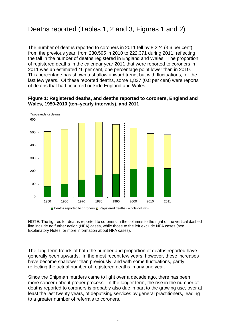# Deaths reported (Tables 1, 2 and 3, Figures 1 and 2)

The number of deaths reported to coroners in 2011 fell by 8,224 (3.6 per cent) from the previous year, from 230,595 in 2010 to 222,371 during 2011, reflecting the fall in the number of deaths registered in England and Wales. The proportion of registered deaths in the calendar year 2011 that were reported to coroners in 2011 was an estimated 46 per cent, one percentage point lower than in 2010. This percentage has shown a shallow upward trend, but with fluctuations, for the last few years. Of these reported deaths, some 1,837 (0.8 per cent) were reports of deaths that had occurred outside England and Wales.



## **Figure 1: Registered deaths, and deaths reported to coroners, England and Wales, 1950-2010 (ten–yearly intervals), and 2011**

NOTE: The figures for deaths reported to coroners in the columns to the right of the vertical dashed line include no further action (NFA) cases, while those to the left exclude NFA cases (see Explanatory Notes for more information about NFA cases).

The long-term trends of both the number and proportion of deaths reported have generally been upwards. In the most recent few years, however, these increases have become shallower than previously, and with some fluctuations, partly reflecting the actual number of registered deaths in any one year.

Since the Shipman murders came to light over a decade ago, there has been more concern about proper process. In the longer term, the rise in the number of deaths reported to coroners is probably also due in part to the growing use, over at least the last twenty years, of deputising services by general practitioners, leading to a greater number of referrals to coroners.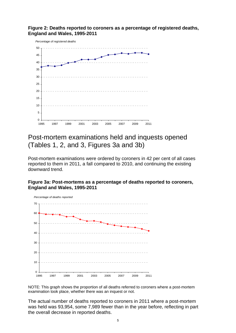## **Figure 2: Deaths reported to coroners as a percentage of registered deaths, England and Wales, 1995-2011**



## Post-mortem examinations held and inquests opened (Tables 1, 2, and 3, Figures 3a and 3b)

Post-mortem examinations were ordered by coroners in 42 per cent of all cases reported to them in 2011, a fall compared to 2010, and continuing the existing downward trend.

## **Figure 3a: Post-mortems as a percentage of deaths reported to coroners, England and Wales, 1995-2011**



NOTE: This graph shows the proportion of all deaths referred to coroners where a post-mortem examination took place, whether there was an inquest or not.

The actual number of deaths reported to coroners in 2011 where a post-mortem was held was 93,954, some 7,989 fewer than in the year before, reflecting in part the overall decrease in reported deaths.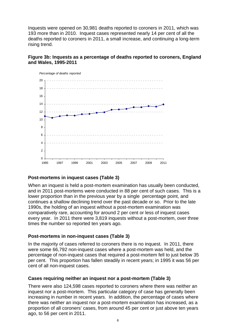Inquests were opened on 30,981 deaths reported to coroners in 2011, which was 193 more than in 2010. Inquest cases represented nearly 14 per cent of all the deaths reported to coroners in 2011, a small increase, and continuing a long-term rising trend.

## **Figure 3b: Inquests as a percentage of deaths reported to coroners, England and Wales, 1995-2011**



## **Post-mortems in inquest cases (Table 3)**

When an inquest is held a post-mortem examination has usually been conducted, and in 2011 post-mortems were conducted in 88 per cent of such cases. This is a lower proportion than in the previous year by a single percentage point, and continues a shallow declining trend over the past decade or so. Prior to the late 1990s, the holding of an inquest without a post-mortem examination was comparatively rare, accounting for around 2 per cent or less of inquest cases every year. In 2011 there were 3,819 inquests without a post-mortem, over three times the number so reported ten years ago.

## **Post-mortems in non-inquest cases (Table 3)**

In the majority of cases referred to coroners there is no inquest. In 2011, there were some 66,792 non-inquest cases where a post-mortem was held, and the percentage of non-inquest cases that required a post-mortem fell to just below 35 per cent. This proportion has fallen steadily in recent years; in 1995 it was 56 per cent of all non-inquest cases.

## **Cases requiring neither an inquest nor a post-mortem (Table 3)**

There were also 124,598 cases reported to coroners where there was neither an inquest nor a post-mortem. This particular category of case has generally been increasing in number in recent years. In addition, the percentage of cases where there was neither an inquest nor a post-mortem examination has increased, as a proportion of all coroners' cases, from around 45 per cent or just above ten years ago, to 56 per cent in 2011.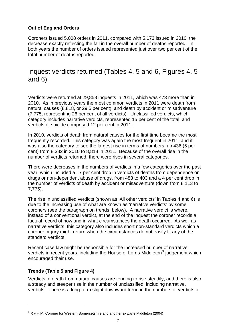## **Out of England Orders**

Coroners issued 5,008 orders in 2011, compared with 5,173 issued in 2010, the decrease exactly reflecting the fall in the overall number of deaths reported. In both years the number of orders issued represented just over two per cent of the total number of deaths reported.

## Inquest verdicts returned (Tables 4, 5 and 6, Figures 4, 5 and 6)

Verdicts were returned at 29,858 inquests in 2011, which was 473 more than in 2010. As in previous years the most common verdicts in 2011 were death from natural causes (8,818, or 29.5 per cent), and death by accident or misadventure (7,775, representing 26 per cent of all verdicts). Unclassified verdicts, which category includes narrative verdicts, represented 15 per cent of the total, and verdicts of suicide comprised 12 per cent in 2011.

In 2010, verdicts of death from natural causes for the first time became the most frequently recorded. This category was again the most frequent in 2011, and it was also the category to see the largest rise in terms of numbers, up 436 (5 per cent) from 8,382 in 2010 to 8,818 in 2011. Because of the overall rise in the number of verdicts returned, there were rises in several categories.

There were decreases in the numbers of verdicts in a few categories over the past year, which included a 17 per cent drop in verdicts of deaths from dependence on drugs or non-dependent abuse of drugs, from 483 to 403 and a 4 per cent drop in the number of verdicts of death by accident or misadventure (down from 8,113 to 7,775).

The rise in unclassified verdicts (shown as 'All other verdicts' in Tables 4 and 6) is due to the increasing use of what are known as 'narrative verdicts' by some coroners (see the paragraph on trends, below). A narrative verdict is where, instead of a conventional verdict, at the end of the inquest the coroner records a factual record of how and in what circumstances the death occurred. As well as narrative verdicts, this category also includes short non-standard verdicts which a coroner or jury might return when the circumstances do not easily fit any of the standard verdicts.

Recent case law might be responsible for the increased number of narrative verdicts in recent years, including the House of Lords Middleton $3$  judgement which encouraged their use.

## **Trends (Table 5 and Figure 4)**

1

Verdicts of death from natural causes are tending to rise steadily, and there is also a steady and steeper rise in the number of unclassified, including narrative, verdicts. There is a long-term slight downward trend in the numbers of verdicts of

<span id="page-8-0"></span><sup>3</sup> R v H.M. Coroner for Western Somersetshire and another *ex parte* Middleton (2004)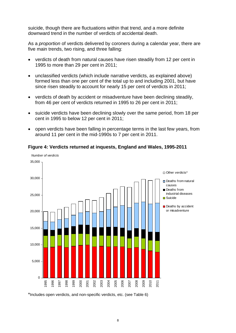suicide, though there are fluctuations within that trend, and a more definite downward trend in the number of verdicts of accidental death.

As a *proportion* of verdicts delivered by coroners during a calendar year, there are five main trends, two rising, and three falling:

- verdicts of death from natural causes have risen steadily from 12 per cent in 1995 to more than 29 per cent in 2011;
- unclassified verdicts (which include narrative verdicts, as explained above) formed less than one per cent of the total up to and including 2001, but have since risen steadily to account for nearly 15 per cent of verdicts in 2011;
- verdicts of death by accident or misadventure have been declining steadily, from 46 per cent of verdicts returned in 1995 to 26 per cent in 2011;
- suicide verdicts have been declining slowly over the same period, from 18 per cent in 1995 to below 12 per cent in 2011;
- open verdicts have been falling in percentage terms in the last few years, from around 11 per cent in the mid-1990s to 7 per cent in 2011.



**Figure 4: Verdicts returned at inquests, England and Wales, 1995-2011** 

\*Includes open verdicts, and non-specific verdicts, etc. (see Table 6)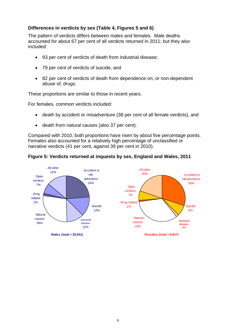## **Differences in verdicts by sex (Table 4, Figures 5 and 6)**

The pattern of verdicts differs between males and females. Male deaths accounted for about 67 per cent of all verdicts returned in 2011; but they also included:

- 93 per cent of verdicts of death from industrial disease;
- 79 per cent of verdicts of suicide, and
- 82 per cent of verdicts of death from dependence on, or non-dependent abuse of, drugs.

These proportions are similar to those in recent years.

For females, common verdicts included:

- death by accident or misadventure (38 per cent of all female verdicts), and
- death from natural causes (also 37 per cent).

Compared with 2010, both proportions have risen by about five percentage points. Females also accounted for a relatively high percentage of unclassified or narrative verdicts (41 per cent, against 39 per cent in 2010).



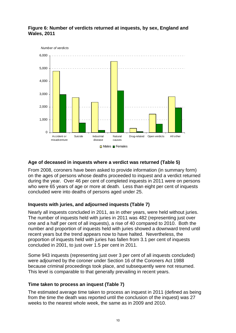

## **Figure 6: Number of verdicts returned at inquests, by sex, England and Wales, 2011**

## **Age of deceased in inquests where a verdict was returned (Table 5)**

From 2008, coroners have been asked to provide information (in summary form) on the ages of persons whose deaths proceeded to inquest and a verdict returned during the year. Over 46 per cent of completed inquests in 2011 were on persons who were 65 years of age or more at death. Less than eight per cent of inquests concluded were into deaths of persons aged under 25.

## **Inquests with juries, and adjourned inquests (Table 7)**

Nearly all inquests concluded in 2011, as in other years, were held without juries. The number of inquests held with juries in 2011 was 482 (representing just over one and a half per cent of all inquests), a rise of 40 compared to 2010. Both the number and proportion of inquests held with juries showed a downward trend until recent years but the trend appears now to have halted. Nevertheless, the proportion of inquests held with juries has fallen from 3.1 per cent of inquests concluded in 2001, to just over 1.5 per cent in 2011.

Some 943 inquests (representing just over 3 per cent of all inquests concluded) were adjourned by the coroner under Section 16 of the Coroners Act 1988 because criminal proceedings took place, and subsequently were not resumed. This level is comparable to that generally prevailing in recent years.

## **Time taken to process an inquest (Table 7)**

The estimated average time taken to process an inquest in 2011 (defined as being from the time the death was reported until the conclusion of the inquest) was 27 weeks to the nearest whole week, the same as in 2009 and 2010.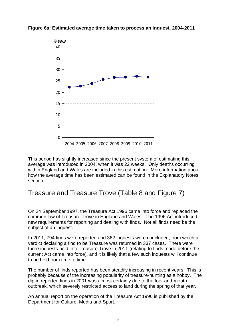## **Figure 6a: Estimated average time taken to process an inquest, 2004-2011**



This period has slightly increased since the present system of estimating this average was introduced in 2004, when it was 22 weeks. Only deaths occurring within England and Wales are included in this estimation. More information about how the average time has been estimated can be found in the Explanatory Notes section.

## Treasure and Treasure Trove (Table 8 and Figure 7)

On 24 September 1997, the Treasure Act 1996 came into force and replaced the common law of Treasure Trove in England and Wales. The 1996 Act introduced new requirements for reporting and dealing with finds. Not all finds need be the subject of an inquest.

In 2011, 794 finds were reported and 362 inquests were concluded, from which a verdict declaring a find to be Treasure was returned in 337 cases. There were three inquests held into Treasure Trove in 2011 (relating to finds made before the current Act came into force), and it is likely that a few such inquests will continue to be held from time to time.

The number of finds reported has been steadily increasing in recent years. This is probably because of the increasing popularity of treasure-hunting as a hobby. The dip in reported finds in 2001 was almost certainly due to the foot-and-mouth outbreak, which severely restricted access to land during the spring of that year.

An annual report on the operation of the Treasure Act 1996 is published by the Department for Culture, Media and Sport.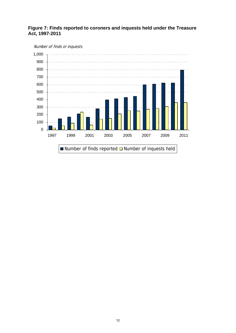

## **Figure 7: Finds reported to coroners and inquests held under the Treasure Act, 1997-2011**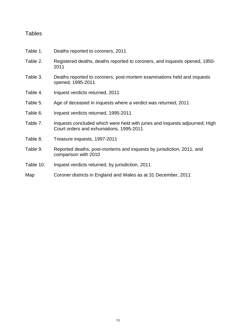## **Tables**

- Table 1. Deaths reported to coroners, 2011
- Table 2. Registered deaths, deaths reported to coroners, and inquests opened, 1950- 2011
- Table 3. Deaths reported to coroners, post-mortem examinations held and inquests opened, 1995-2011
- Table 4. Inquest verdicts returned, 2011
- Table 5. Age of deceased in inquests where a verdict was returned, 2011
- Table 6. Inquest verdicts returned, 1995-2011
- Table 7. Inquests concluded which were held with juries and inquests adjourned; High Court orders and exhumations, 1995-2011
- Table 8. Treasure inquests, 1997-2011
- Table 9. Reported deaths, post-mortems and inquests by jurisdiction, 2011, and comparison with 2010
- Table 10. Inquest verdicts returned, by jurisdiction, 2011

## Map Coroner districts in England and Wales as at 31 December, 2011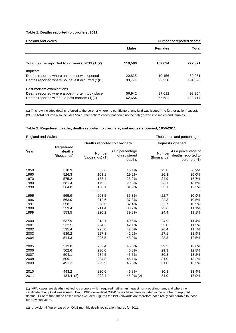#### **Table 1: Deaths reported to coroners, 2011**

| <b>England and Wales</b>                         |              |                | Number of reported deaths |
|--------------------------------------------------|--------------|----------------|---------------------------|
|                                                  | <b>Males</b> | <b>Females</b> | Total                     |
| Total deaths reported to coroners, 2011 (1)(2)   | 119,596      | 102,694        | 222,371                   |
| Inquests                                         |              |                |                           |
| Deaths reported where an inquest was opened      | 20.825       | 10.156         | 30,981                    |
| Deaths reported where no inquest occurred (1)(2) | 98,771       | 92,538         | 191,390                   |
| Post-mortem examinations                         |              |                |                           |
| Deaths reported where a post-mortem took place   | 56,942       | 37.012         | 93,954                    |
| Deaths reported without a post-mortem (1)(2)     | 62,654       | 65,682         | 128,417                   |

(1) This row includes deaths referred to the coroner where no certificate of any kind was issued ("no further action" cases). (2) The **total** column also includes "no further action" cases that could not be categorized into males and females.

#### **Table 2: Registered deaths, deaths reported to coroners, and inquests opened, 1950-2011**

| <b>England and Wales</b> |                                            |                             |                                            |                       | Thousands and percentages                                |  |  |  |
|--------------------------|--------------------------------------------|-----------------------------|--------------------------------------------|-----------------------|----------------------------------------------------------|--|--|--|
|                          |                                            | Deaths reported to coroners |                                            | Inquests opened       |                                                          |  |  |  |
| Year                     | <b>Registered</b><br>deaths<br>(thousands) | Number<br>(thousands) (1)   | As a percentage<br>of registered<br>deaths | Number<br>(thousands) | As a percentage of<br>deaths reported to<br>coroners (1) |  |  |  |
| 1950                     | 510.3                                      | 83.6                        | 16.4%                                      | 25.8                  | 30.9%                                                    |  |  |  |
| 1960                     | 526.3                                      | 101.1                       | 19.2%                                      | 26.3                  | 26.0%                                                    |  |  |  |
| 1970                     | 575.2                                      | 133.4                       | 23.2%                                      | 24.9                  | 18.7%                                                    |  |  |  |
| 1980                     | 581.4                                      | 170.2                       | 29.3%                                      | 23.1                  | 13.6%                                                    |  |  |  |
| 1990                     | 564.8                                      | 180.1                       | 31.9%                                      | 22.1                  | 12.3%                                                    |  |  |  |
| 1995                     | 565.9                                      | 208.5                       | 36.8%                                      | 22.7                  | 10.9%                                                    |  |  |  |
| 1996                     | 563.0                                      | 212.6                       | 37.8%                                      | 22.3                  | 10.5%                                                    |  |  |  |
| 1997                     | 558.1                                      | 208.6                       | 37.4%                                      | 22.7                  | 10.9%                                                    |  |  |  |
| 1998                     | 553.4                                      | 211.4                       | 38.2%                                      | 23.6                  | 11.1%                                                    |  |  |  |
| 1999                     | 553.5                                      | 220.2                       | 39.8%                                      | 24.4                  | 11.1%                                                    |  |  |  |
| 2000                     | 537.9                                      | 218.1                       | 40.5%                                      | 24.9                  | 11.4%                                                    |  |  |  |
| 2001                     | 532.5                                      | 224.3                       | 42.1%                                      | 25.8                  | 11.5%                                                    |  |  |  |
| 2002                     | 535.4                                      | 225.0                       | 42.0%                                      | 26.4                  | 11.7%                                                    |  |  |  |
| 2003                     | 539.2                                      | 227.8                       | 42.2%                                      | 27.1                  | 11.9%                                                    |  |  |  |
| 2004                     | 514.3                                      | 225.5                       | 43.9%                                      | 28.3                  | 12.5%                                                    |  |  |  |
| 2005                     | 513.0                                      | 232.4                       | 45.3%                                      | 29.3                  | 12.6%                                                    |  |  |  |
| 2006                     | 502.6                                      | 230.0                       | 45.8%                                      | 29.3                  | 12.8%                                                    |  |  |  |
| 2007                     | 504.1                                      | 234.5                       | 46.5%                                      | 30.8                  | 13.2%                                                    |  |  |  |
| 2008                     | 509.1                                      | 234.8                       | 46.1%                                      | 31.0                  | 13.2%                                                    |  |  |  |
| 2009                     | 491.3                                      | 229.9                       | 46.8%                                      | 31.0                  | 13.5%                                                    |  |  |  |
| 2010                     | 493.2                                      | 230.6                       | 46.8%                                      | 30.8                  | 13.4%                                                    |  |  |  |
| 2011                     | 484.4 (2)                                  | 222.4                       | 45.9% (2)                                  | 31.0                  | 13.9%                                                    |  |  |  |

(1) 'NFA' cases are deaths notified to coroners which required neither an inquest nor a post-mortem, and where no certificate of any kind was issued. From 1995 onwards all 'NFA' cases have been included in the number of reported deaths. Prior to that, these cases were excluded. Figures for 1995 onwards are therefore not directly comparable to those for previous years.

(2) provisional figure, based on ONS monthly death registration figures for 2011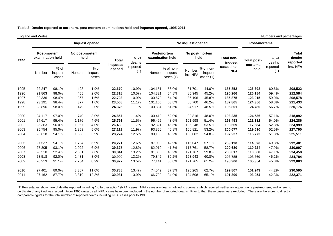|      | England and Wales               |                          |                        |                            |                    |                 |         |                                   |                     |                                   |                                      |                 | Numbers and percentages |                                    |  |
|------|---------------------------------|--------------------------|------------------------|----------------------------|--------------------|-----------------|---------|-----------------------------------|---------------------|-----------------------------------|--------------------------------------|-----------------|-------------------------|------------------------------------|--|
|      |                                 |                          |                        | Inquest opened             |                    |                 |         |                                   | No inquest opened   |                                   |                                      |                 | <b>Post-mortems</b>     |                                    |  |
| Year | Post-mortem<br>examination held |                          | No post-mortem<br>held |                            | <b>Total</b>       | % of<br>deaths  |         | Post-mortem<br>examination held   |                     | No post-mortem<br>held            |                                      | Total post-     | $%$ of<br>deaths        | <b>Total</b><br>deaths<br>reported |  |
|      | Number                          | % of<br>inquest<br>cases | Number                 | $%$ of<br>inquest<br>cases | inquests<br>opened | reported<br>(1) | Number  | % of non-<br>inquest<br>cases (1) | Number,<br>inc. NFA | % of non-<br>inquest<br>cases (1) | inquest<br>cases, inc.<br><b>NFA</b> | mortems<br>held | reported<br>(1)         | inc. NFA                           |  |
| 1995 | 22,247                          | 98.1%                    | 423                    | 1.9%                       | 22,670             | 10.9%           | 104,151 | 56.0%                             | 81,701              | 44.0%                             | 185,852                              | 126,398         | 60.6%                   | 208,522                            |  |
| 1996 | 21,863                          | 98.0%                    | 455                    | 2.0%                       | 22,318             | 10.5%           | 104,321 | 54.8%                             | 85,945              | 45.2%                             | 190,266                              | 126,184         | 59.4%                   | 212,584                            |  |
| 1997 | 22,336                          | 98.4%                    | 367                    | 1.6%                       | 22,703             | 10.9%           | 100.679 | 54.2%                             | 85,196              | 45.8%                             | 185,875                              | 123,015         | 59.0%                   | 208,578                            |  |
| 1998 | 23,191                          | 98.4%                    | 377                    | 1.6%                       | 23,568             | 11.1%           | 101.165 | 53.8%                             | 86.700              | 46.2%                             | 187,865                              | 124,356         | 58.8%                   | 211,433                            |  |
| 1999 | 23,896                          | 98.0%                    | 479                    | 2.0%                       | 24,375             | 11.1%           | 100,884 | 51.5%                             | 94,917              | 48.5%                             | 195,801                              | 124,780         | 56.7%                   | 220,176                            |  |
| 2000 | 24,117                          | 97.0%                    | 740                    | 3.0%                       | 24,857             | 11.4%           | 100,419 | 52.0%                             | 92,816              | 48.0%                             | 193,235                              | 124,536         | 57.1%                   | 218,092                            |  |
| 2001 | 24,617                          | 95.4%                    | 1,176                  | 4.6%                       | 25,793             | 11.5%           | 96,495  | 48.6%                             | 101,998             | 51.4%                             | 198,493                              | 121,112         | 54.0%                   | 224,286                            |  |
| 2002 | 25,363                          | 96.0%                    | 1.067                  | 4.0%                       | 26,430             | 11.7%           | 92,321  | 46.5%                             | 106,248             | 53.5%                             | 198,569                              | 117,684         | 52.3%                   | 224,999                            |  |
| 2003 | 25,754                          | 95.0%                    | 1,359                  | 5.0%                       | 27,113             | 11.9%           | 93,856  | 46.8%                             | 106,821             | 53.2%                             | 200,677                              | 119,610         | 52.5%                   | 227,790                            |  |
| 2004 | 26,618                          | 94.1%                    | 1,656                  | 5.9%                       | 28,274             | 12.5%           | 89,155  | 45.2%                             | 108,082             | 54.8%                             | 197,237                              | 115,773         | 51.3%                   | 225,511                            |  |
| 2005 | 27,537                          | 94.1%                    | 1,734                  | 5.9%                       | 29,271             | 12.6%           | 87,083  | 42.9%                             | 116,047             | 57.1%                             | 203,130                              | 114,620         | 49.3%                   | 232,401                            |  |
| 2006 | 27,305                          | 93.1%                    | 2,022                  | 6.9%                       | 29,327             | 12.8%           | 82.919  | 41.3%                             | 117.761             | 58.7%                             | 200,680                              | 110,224         | 47.9%                   | 230,007                            |  |
| 2007 | 28,510                          | 92.4%                    | 2,331                  | 7.6%                       | 30,841             | 13.2%           | 81,850  | 40.2%                             | 121,767             | 59.8%                             | 203,617                              | 110,360         | 47.1%                   | 234,458                            |  |
| 2008 | 28,518                          | 92.0%                    | 2,481                  | 8.0%                       | 30,999             | 13.2%           | 79,842  | 39.2%                             | 123,943             | 60.8%                             | 203,785                              | 108,360         | 46.2%                   | 234,784                            |  |
| 2009 | 28,213                          | 91.1%                    | 2,764                  | 8.9%                       | 30,977             | 13.5%           | 77,141  | 38.8%                             | 121,765             | 61.2%                             | 198,906                              | 105,354         | 45.8%                   | 229,883                            |  |
| 2010 | 27,401                          | 89.0%                    | 3,387                  | 11.0%                      | 30,788             | 13.4%           | 74,542  | 37.3%                             | 125,265             | 62.7%                             | 199,807                              | 101,943         | 44.2%                   | 230,595                            |  |
| 2011 | 27,162                          | 87.7%                    | 3,819                  | 12.3%                      | 30,981             | 13.9%           | 66,792  | 34.9%                             | 124,598             | 65.1%                             | 191,390                              | 93,954          | 42.3%                   | 222,371                            |  |

#### **Table 3: Deaths reported to coroners, post-mortem examinations held and inquests opened, 1995-2011**

and and Wales

(1) Percentages shown are of deaths reported including "no further action" (NFA) cases. NFA cases are deaths notified to coroners which required neither an inquest nor a post-mortem, and where no certificate of any kind was issued. From 1995 onwards all 'NFA' cases have been included in the number of reported deaths. Prior to that, these cases were excluded. There are therefore no directly comp arable figures for the total number of reported deaths including 'NFA' cases prior to 1995.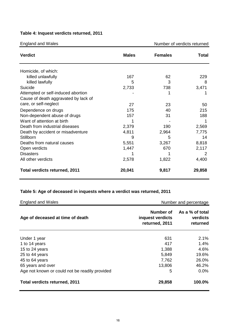### **T able 4: Inquest verdicts returned, 2011**

| England and Wales                    |              | Number of verdicts returned |       |
|--------------------------------------|--------------|-----------------------------|-------|
| <b>Verdict</b>                       | <b>Males</b> | <b>Females</b>              | Total |
| Homicide, of which:                  |              |                             |       |
| killed unlawfully                    | 167          | 62                          | 229   |
| killed lawfully                      | 5            | 3                           | 8     |
| Suicide                              | 2,733        | 738                         | 3,471 |
| Attempted or self-induced abortion   |              |                             |       |
| Cause of death aggravated by lack of |              |                             |       |
| care, or self-neglect                | 27           | 23                          | 50    |
| Dependence on drugs                  | 175          | 40                          | 215   |
| Non-dependent abuse of drugs         | 157          | 31                          | 188   |
| Want of attention at birth           |              |                             |       |
| Death from industrial diseases       | 2,379        | 190                         | 2,569 |

St 14

Open verdicts and the set of the contract of the 1,447 and 1,447 and 1,447 and 2,117 Disasters 2

**Total verdicts returned, 2011** 20,041 9,817 29,858

7,775

8,818

4,400

### **T able 5: Age of deceased in inquests where a verdict was returned, 2011**

Death by accident or misadventure 4,811 2,964 illborn 5 Deaths from natural causes 6,551 3,267

sasters 1 1 All other verdicts and the control of the 2,578 and 1,822

| <b>England and Wales</b>                       |                                                 | Number and percentage                   |
|------------------------------------------------|-------------------------------------------------|-----------------------------------------|
| Age of deceased at time of death               | Number of<br>inquest verdicts<br>returned, 2011 | As a % of total<br>verdicts<br>returned |
| Under 1 year                                   | 631                                             | 2.1%                                    |
| 1 to 14 years                                  | 417                                             | 1.4%                                    |
| 15 to 24 years                                 | 1,388                                           | 4.6%                                    |
| 25 to 44 years                                 | 5,849                                           | 19.6%                                   |
| 45 to 64 years                                 | 7,762                                           | 26.0%                                   |
| 65 years and over                              | 13,806                                          | 46.2%                                   |
| Age not known or could not be readily provided | 5                                               | 0.0%                                    |
| <b>Total verdicts returned, 2011</b>           | 29,858                                          | 100.0%                                  |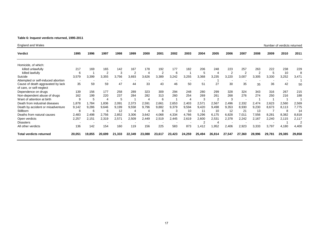#### **able 6: Inquest verdicts returned, 1995-2011 T**

| England and Wales                  |                          |        |                |        |                |                |                |        |        |                |                |                |                |                |        | Number of verdicts returned |        |
|------------------------------------|--------------------------|--------|----------------|--------|----------------|----------------|----------------|--------|--------|----------------|----------------|----------------|----------------|----------------|--------|-----------------------------|--------|
| <b>Verdict</b>                     | 1995                     | 1996   | 1997           | 1998   | 1999           | 2000           | 2001           | 2002   | 2003   | 2004           | 2005           | 2006           | 2007           | 2008           | 2009   | 2010                        | 2011   |
| Homicide, of which:                |                          |        |                |        |                |                |                |        |        |                |                |                |                |                |        |                             |        |
| killed unlawfully                  | 217                      | 169    | 165            | 142    | 167            | 178            | 192            | 177    | 182    | 206            | 248            | 223            | 257            | 263            | 222    | 238                         | 229    |
| killed lawfully                    | 6                        |        | $\overline{2}$ | 3      | $\overline{2}$ | 4              | $\overline{2}$ | 6      |        | 5              | 4              | $\overline{2}$ | $\overline{2}$ | $\overline{2}$ | 5      | 10                          | 8      |
| Suicide                            | 3,579                    | 3,399  | 3,355          | 3,756  | 3,693          | 3,626          | 3,389          | 3,242  | 3,255  | 3,368          | 3,235          | 3,220          | 3,007          | 3,305          | 3,330  | 3,252                       | 3,471  |
| Attempted or self-induced abortion | $\overline{\phantom{a}}$ |        |                |        |                |                |                |        |        |                |                |                |                |                |        |                             |        |
| Cause of death aggravated by lack  | 35                       | 59     | 59             | 47     | 44             | 33             | 43             | 46     | 50     | 51             | 27             | 30             | 35             | 35             | 36     | 42                          | 50     |
| of care, or self-neglect           |                          |        |                |        |                |                |                |        |        |                |                |                |                |                |        |                             |        |
| Dependence on drugs                | 139                      | 156    | 177            | 258    | 289            | 323            | 309            | 294    | 248    | 280            | 299            | 328            | 324            | 343            | 316    | 267                         | 215    |
| Non-dependent abuse of drugs       | 162                      | 199    | 220            | 237    | 284            | 282            | 313            | 260    | 254    | 269            | 261            | 268            | 276            | 274            | 250    | 216                         | 188    |
| Want of attention at birth         | 9                        | 5      |                | 5      |                | $\overline{4}$ | 6              |        |        | 3              | $\overline{2}$ | 3              |                |                |        |                             |        |
| Death from industrial diseases     | 1,878                    | 1,784  | 1,836          | 2,091  | 2,373          | 2,591          | 2,661          | 2,653  | 2,403  | 2,571          | 2,567          | 2,496          | 2,332          | 2,474          | 2,623  | 2,560                       | 2,569  |
| Death by accident or misadventure  | 9,142                    | 9,286  | 9,646          | 9,199  | 9,558          | 9,796          | 9,882          | 9,379  | 9,594  | 9,420          | 9,498          | 9,353          | 8,930          | 9,230          | 8,673  | 8,113                       | 7,775  |
| Stillborn                          | 8                        | 6      | 6              | 12     |                | 4              | 8              | 3      | 10     | 11             | 10             | 12             | 21             | 13             |        | 8                           | 14     |
| Deaths from natural causes         | 2,483                    | 2,498  | 2,756          | 2,852  | 3,306          | 3,642          | 4,068          | 4,334  | 4,766  | 5,296          | 6,175          | 6,828          | 7,011          | 7,556          | 8,281  | 8,382                       | 8,818  |
| Open verdicts                      | 2,257                    | 2,151  | 2,319          | 2,571  | 2,509          | 2,449          | 2,519          | 2,445  | 2,619  | 2,600          | 2,531          | 2,378          | 2,242          | 2,167          | 2,240  | 2,115                       | 2,117  |
| <b>Disasters</b>                   |                          |        |                |        |                |                |                |        |        | $\overline{2}$ | 4              |                |                |                |        |                             | 2      |
| All other verdicts                 | 136                      | 142    | 154            | 160    | 119            | 156            | 225            | 583    | 873    | 1,412          | 1,952          | 2,406          | 2,923          | 3,333          | 3,797  | 4,180                       | 4,400  |
| <b>Total verdicts returned</b>     | 20,051                   | 19,855 | 20,699         | 21,333 | 22,349         | 23,088         | 23,617         | 23,423 | 24,259 | 25,494         | 26,814         | 27,547         | 27,360         | 28,996         | 29,781 | 29,385                      | 29,858 |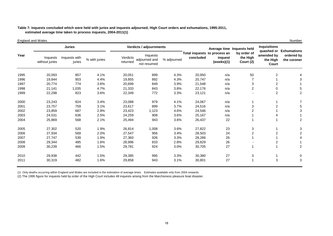#### **estimated average time taken to process inquests, 2004-2011(1) able 7: Inquests concluded which were held with juries and inquests adjourned; High Court orders and exhumations, 1995-2011, T**

#### 2008 29,344 485 1.6% 28,996 833 2.8% 29,829 26 - 2 1 2009 30,239 466 1.5% 29,781 924 3.0% 30,705 27 1 1 2 2010 29,938 442 1.5% 29,385 995 3.3% 30,380 27 3 1 0 2011 30,319 482 1.6% 29,858 943 3.1% 30,801 27 1 3 3 England and Wales Number (Number 2002) which is a state of the state of the state of the state of the state of the state of the state of the state of the state of the state of the state of the state of the state of the sta **Juries Verdicts / adjournments** Inquests without juries Inquests with inquests<br>juries % with juries vierdicts adjourned and iguries adjourned and not resumed adjourned and % adjourned<br>not resumed 1995 20,093 857 4.1% 20,051 899 4.3% 20,950 n/a 50 2 4 1996 19,844 903 4.4% 19,855 892 4.3% 20,747 n/a 7 1 3 1997 20,774 774 3.6% 20,699 849 3.9% 21,548 n/a 3 2 1 1998 21,141 1,035 4.7% 21,333 843 3.8% 22,176 n/a 2 0 5 1999 22,298 823 3.6% 22,349 772 3.3% 23,121 n/a - 2 2 2000 23,243 824 3.4% 23,088 979 4.1% 24,067 n/a 1 1 7 2001 23,757 759 3.1% 23,617 899 3.7% 24,516 n/a 3 2 5 2002 23,859 687 2.8% 23,423 1,123 4.6% 24,546 n/a 2 1 3 2003 24,531 636 2.5% 24,259 908 3.6% 25,167 n/a 1 4 1 2004 25,869 568 2.1% 25,494 943 3.6% 26,437 22 1 1 2 2005 27,302 520 1.9% 26,814 1,008 3.6% 27,822 23 3 1 3 2006 27,934 569 2.0% 27,547 956 3.4% 28,503 24 2 2 2 2007 27,747 539 1.9% 27,360 926 3.3% 28,286 26 1 1 4 Average time lnquests held **by order of the High Court (2) Inquisitions quashed or Exhumations amended by the High Courtordered by the coronerYearTotal inquests**<br>Inquests concluded in the concluded verdicts concluded in the concluded concluded concluded **Total inquests to process an inquest (weeks)(1)**

(1) Only deaths occurring within England and Wales are included in the estimation of average times. Estimates available only from 2004 onwards.

(2) The 1995 figure for inquests held by order of the High Court includes 48 inquests arising from the Marchioness pleasure boat disaster.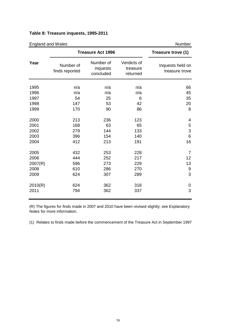## **Table 8: Treasure inquests, 1995-2011**

| <b>England and Wales</b> |                             |                                    |                                     | Number                             |
|--------------------------|-----------------------------|------------------------------------|-------------------------------------|------------------------------------|
|                          |                             | <b>Treasure Act 1996</b>           |                                     | Treasure trove (1)                 |
| Year                     | Number of<br>finds reported | Number of<br>inquests<br>concluded | Verdicts of<br>treasure<br>returned | Inquests held on<br>treasure trove |
| 1995                     | n/a                         | n/a                                | n/a                                 | 66                                 |
| 1996                     | n/a                         | n/a                                | n/a                                 | 45                                 |
| 1997                     | 54                          | 25                                 | 6                                   | 35                                 |
| 1998                     | 147                         | 53                                 | 42                                  | 20                                 |
| 1999                     | 170                         | 90                                 | 86                                  | 8                                  |
| 2000                     | 213                         | 236                                | 123                                 | 4                                  |
| 2001                     | 168                         | 63                                 | 65                                  | $\mathbf 5$                        |
| 2002                     | 279                         | 144                                | 133                                 | 3                                  |
| 2003                     | 396                         | 154                                | 140                                 | 6                                  |
| 2004                     | 412                         | 213                                | 191                                 | 16                                 |
| 2005                     | 432                         | 253                                | 228                                 | 7                                  |
| 2006                     | 444                         | 252                                | 217                                 | 12                                 |
| 2007(R)                  | 596                         | 273                                | 229                                 | 13                                 |
| 2008                     | 610                         | 286                                | 270                                 | 9                                  |
| 2009                     | 624                         | 307                                | 289                                 | 3                                  |
| 2010(R)                  | 624                         | 362                                | 318                                 | 0                                  |
| 2011                     | 794                         | 362                                | 337                                 | 3                                  |

(R) The figures for finds made in 2007 and 2010 have been revised slightly; see Explanatory Notes for more information.

(1) Relates to finds made before the commencement of the Treasure Act in September 1997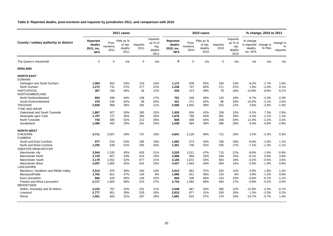#### **Table 9: Reported deaths, post-mortems and inquests by jurisdiction 2011, and comparison with 2010**

|                                                                   |                                                |                          | 2011 cases                            |                  |                                               | 2010 cases                                     |                          |                                       |                  |                                               | % change, 2010 to 2011                                   |                    |                                        |  |
|-------------------------------------------------------------------|------------------------------------------------|--------------------------|---------------------------------------|------------------|-----------------------------------------------|------------------------------------------------|--------------------------|---------------------------------------|------------------|-----------------------------------------------|----------------------------------------------------------|--------------------|----------------------------------------|--|
| County / unitary authority or district                            | Reported<br>deaths<br>2011, inc.<br><b>NFA</b> | Post-<br>mortems<br>2011 | PMs as %<br>of rep.<br>deaths<br>2011 | Inquests<br>2011 | Inquests<br>as % of<br>rep.<br>deaths<br>2011 | Reported<br>deaths<br>2010, inc.<br><b>NFA</b> | Post-<br>mortems<br>2010 | PMs as %<br>of rep.<br>deaths<br>2010 | Inquests<br>2010 | Inquests<br>as % of<br>rep.<br>deaths<br>2010 | % change<br>in reported change in<br>deaths,<br>inc. NFA | % PMs              | change in<br>$\frac{0}{0}$<br>inquests |  |
| The Queen's Household                                             | $\mathbf 0$                                    | $\mathbf 0$              | n/a                                   | $\mathbf 0$      | n/a                                           | $\mathbf 0$                                    | $\mathbf 0$              | n/a                                   | 0                | n/a                                           | n/a                                                      | n/a                | n/a                                    |  |
| <b>ENGLAND</b>                                                    |                                                |                          |                                       |                  |                                               |                                                |                          |                                       |                  |                                               |                                                          |                    |                                        |  |
| <b>NORTH EAST</b><br><b>DURHAM</b><br>Darlington and South Durham | 1,064                                          | 562                      | 53%                                   | 153              | 14%                                           | 1,172                                          | 639                      | 55%                                   | 150              | 13%                                           | $-9.2%$                                                  | $-1.7%$            | 1.6%                                   |  |
| North Durham                                                      | 1,272                                          | 731                      | 57%                                   | 277              | 22%                                           | 1,248                                          | 747                      | 60%                                   | 271              | 22%                                           | 1.9%                                                     | $-2.4%$            | 0.1%                                   |  |
| <b>HARTLEPOOL</b>                                                 | 387                                            | 156                      | 40%                                   | 46               | 12%                                           | 434                                            | 213                      | 49%                                   | 78               | 18%                                           | $-10.8%$                                                 | $-8.8%$            | $-6.1%$                                |  |
| <b>NORTHUMBERLAND</b><br>North Northumberland                     | 654                                            | 289                      | 44%                                   | 108              | 17%                                           | 701                                            | 340                      | 49%                                   | 132              | 19%                                           | $-6.7%$                                                  | $-4.3%$            | $-2.3%$                                |  |
| South Northumberland                                              | 379                                            | 236                      | 62%                                   | 96               | 25%                                           | 421                                            | 271                      | 64%                                   | 96               | 23%                                           | $-10.0%$                                                 | $-2.1%$            | 2.5%                                   |  |
| <b>TEESSIDE</b>                                                   | 2,659                                          | 968                      | 36%                                   | 292              | 11%                                           | 2,566                                          | 1,002                    | 39%                                   | 315              | 12%                                           | 3.6%                                                     | $-2.6%$            | $-1.3%$                                |  |
| <b>TYNE AND WEAR</b>                                              |                                                |                          |                                       |                  |                                               |                                                |                          |                                       |                  |                                               |                                                          |                    |                                        |  |
| Gateshead and South Tyneside                                      | 1,867                                          | 927                      | 50%                                   | 285              | 15%                                           | 1,926                                          | 816                      | 42%                                   | 238              | 12%                                           | $-3.1%$                                                  | 7.3%               | 2.9%                                   |  |
| Newcastle upon Tyne                                               | 1,797                                          | 727                      | 40%                                   | 365              | 20%                                           | 1,876                                          | 799                      | 43%                                   | 361              | 19%                                           | $-4.2%$                                                  | $-2.1%$            | 1.1%                                   |  |
| North Tyneside                                                    | 743                                            | 385                      | 52%                                   | 212              | 29%                                           | 848                                            | 458                      | 54%                                   | 206              | 24%                                           | $-12.4%$                                                 | $-2.2%$            | 4.2%                                   |  |
| Sunderland                                                        | 1,485                                          | 492                      | 33%                                   | 341              | 23%                                           | 1,538                                          | 584                      | 38%                                   | 396              | 26%                                           | $-3.4%$                                                  | $-4.8%$            | $-2.8%$                                |  |
| <b>NORTH WEST</b>                                                 |                                                |                          |                                       |                  |                                               |                                                |                          |                                       |                  |                                               |                                                          |                    |                                        |  |
| <b>CHESHIRE</b>                                                   | 4,711                                          | 2,007                    | 43%                                   | 737              | 16%                                           | 4,641                                          | 2,129                    | 46%                                   | 712              | 15%                                           | 1.5%                                                     | $-3.3%$            | 0.3%                                   |  |
| <b>CUMBRIA</b>                                                    |                                                |                          |                                       |                  |                                               |                                                |                          |                                       |                  |                                               |                                                          |                    |                                        |  |
| South and East Cumbria                                            | 977                                            | 518                      | 53%                                   | 186              | 19%                                           | 1,062                                          | 574                      | 54%                                   | 190              | 18%                                           | $-8.0%$                                                  | $-1.0%$            | 1.1%                                   |  |
| North and West Cumbria<br><b>GREATER MANCHESTER</b>               | 1,255                                          | 639                      | 51%                                   | 205              | 16%                                           | 1,351                                          | 706                      | 52%                                   | 235              | 17%                                           | $-7.1%$                                                  | $-1.3%$            | $-1.1%$                                |  |
| Manchester city                                                   | 2,944                                          | 1,335                    | 45%                                   | 626              | 21%                                           | 3,220                                          | 1,511                    | 47%                                   | 715              | 22%                                           | $-8.6%$                                                  | $-1.6%$            | $-0.9%$                                |  |
| <b>Manchester North</b>                                           | 2,729                                          | 907                      | 33%                                   | 524              | 19%                                           | 2,906                                          | 950                      | 33%                                   | 446              | 15%                                           | $-6.1%$                                                  | 0.5%               | 3.9%                                   |  |
| <b>Manchester South</b>                                           | 3,178                                          | 1,652                    | 52%                                   | 677              | 21%                                           | 3,184                                          | 1,672                    | 53%                                   | 563              | 18%                                           | $-0.2%$                                                  | $-0.5%$            | 3.6%                                   |  |
| <b>Manchester West</b>                                            | 4,297                                          | 1,805                    | 42%                                   | 624              | 15%                                           | 4,427                                          | 1,943                    | 44%                                   | 604              | 14%                                           | $-2.9%$                                                  | $-1.9%$            | 0.9%                                   |  |
| LANCASHIRE                                                        |                                                |                          |                                       |                  |                                               |                                                |                          |                                       |                  |                                               |                                                          |                    |                                        |  |
| Blackburn, Hyndburn and Ribble Valley                             | 2,510                                          | 970                      | 39%                                   | 343              | 14%                                           | 2,613                                          | 962                      | 37%                                   | 325              | 12%                                           | $-3.9%$                                                  | 1.8%               | 1.2%                                   |  |
| Blackpool/Fylde                                                   | 1,762                                          | 821                      | 47%                                   | 145              | 8%                                            | 1,696                                          | 811                      | 48%                                   | 130              | 8%                                            | 3.9%                                                     | $-1.2%$            | 0.6%                                   |  |
| East Lancashire                                                   | 660                                            | 429                      | 65%                                   | 145              | 22%                                           | 664                                            | 436                      | 66%                                   | 153              | 23%                                           | $-0.6%$                                                  | $-0.7%$            | $-1.1%$                                |  |
| Preston and West Lancashire                                       | 2,717                                          | 1,563                    | 58%                                   | 474              | 17%                                           | 2,743                                          | 1,584                    | 58%                                   | 464              | 17%                                           | $-0.9%$                                                  | $-0.2%$            | 0.5%                                   |  |
| <b>MERSEYSIDE</b>                                                 |                                                |                          |                                       |                  |                                               |                                                |                          |                                       |                  |                                               |                                                          |                    |                                        |  |
| Sefton, Knowsley and St Helens                                    | 2,223                                          | 707                      | 32%                                   | 251              | 11%                                           | 2,548                                          | 867                      | 34%                                   | 305              | 12%                                           | $-12.8%$                                                 | $-2.2%$            | $-0.7%$                                |  |
| Liverpool<br>Wirral                                               | 2,777<br>1.501                                 | 801<br>463               | 29%<br>31%                            | 529<br>267       | 19%<br>18%                                    | 2,815<br>1.681                                 | 877<br>615               | 31%<br>37%                            | 530<br>276       | 19%<br>16%                                    | $-1.3%$<br>$-10.7%$                                      | $-2.3%$<br>$-5.7%$ | 0.2%<br>1.4%                           |  |
|                                                                   |                                                |                          |                                       |                  |                                               |                                                |                          |                                       |                  |                                               |                                                          |                    |                                        |  |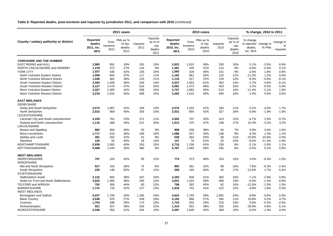**Table 9: Reported deaths, post-mortems and inquests by jurisdiction 2011, and comparison with 2010** *(continued)*

|                                                  |                                                |                          | 2011 cases                            |                  |                                               | 2010 cases                                     |                          |                                       |                  |                                               | % change, 2010 to 2011                                   |          |                            |
|--------------------------------------------------|------------------------------------------------|--------------------------|---------------------------------------|------------------|-----------------------------------------------|------------------------------------------------|--------------------------|---------------------------------------|------------------|-----------------------------------------------|----------------------------------------------------------|----------|----------------------------|
| County / unitary authority or district           | Reported<br>deaths<br>2011, inc.<br><b>NFA</b> | Post-<br>mortems<br>2011 | PMs as %<br>of rep.<br>deaths<br>2011 | Inquests<br>2011 | Inquests<br>as % of<br>rep.<br>deaths<br>2011 | Reported<br>deaths<br>2010, inc.<br><b>NFA</b> | Post-<br>mortems<br>2010 | PMs as %<br>of rep.<br>deaths<br>2010 | Inquests<br>2010 | Inquests<br>as % of<br>rep.<br>deaths<br>2010 | % change<br>in reported change in<br>deaths,<br>inc. NFA | % PMs    | change in<br>%<br>inquests |
| <b>YORKSHIRE AND THE HUMBER</b>                  |                                                |                          |                                       |                  |                                               |                                                |                          |                                       |                  |                                               |                                                          |          |                            |
| <b>EAST RIDING and HULL</b>                      | 2.965                                          | 991                      | 33%                                   | 291              | 10%                                           | 2.822                                          | 1,015                    | 36%                                   | 293              | 10%                                           | 5.1%                                                     | $-2.5%$  | $-0.6%$                    |
| NORTH LINCOLNSHIRE and GRIMSBY                   | 1.378                                          | 372                      | 27%                                   | 124              | 9%                                            | 1.391                                          | 435                      | 31%                                   | 124              | 9%                                            | $-0.9%$                                                  | $-4.3%$  | 0.1%                       |
| <b>YORK CITY</b>                                 | 1.037                                          | 435                      | 42%                                   | 105              | 10%                                           | 1.065                                          | 428                      | 40%                                   | 101              | 9%                                            | $-2.6%$                                                  | 1.8%     | 0.6%                       |
| North Yorkshire Eastern District                 | 1.059                                          | 600                      | 57%                                   | 117              | 11%                                           | 1,192                                          | 661                      | 55%                                   | 132              | 11%                                           | $-11.2%$                                                 | 1.2%     | 0.0%                       |
| North Yorkshire Western District                 | 1.048                                          | 382                      | 36%                                   | 120              | 11%                                           | 1,119                                          | 417                      | 37%                                   | 129              | 12%                                           | $-6.3%$                                                  | $-0.8%$  | $-0.1%$                    |
| South Yorkshire Eastern District                 | 2,493                                          | 1,406                    | 56%                                   | 344              | 14%                                           | 2,537                                          | 1,553                    | 61%                                   | 352              | 14%                                           | $-1.7%$                                                  | $-4.8%$  | $-0.1%$                    |
| South Yorkshire Western District                 | 3,127                                          | 1,476                    | 47%                                   | 616              | 20%                                           | 3,091                                          | 1,473                    | 48%                                   | 453              | 15%                                           | 1.2%                                                     | $-0.5%$  | 5.0%                       |
| West Yorkshire Eastern District                  | 3,327                                          | 1,385                    | 42%                                   | 508              | 15%                                           | 3,757                                          | 1.682                    | 45%                                   | 513              | 14%                                           | $-11.4%$                                                 | $-3.1%$  | 1.6%                       |
| West Yorkshire Western District                  | 3,234                                          | 1,615                    | 50%                                   | 489              | 15%                                           | 3,282                                          | 1,610                    | 49%                                   | 495              | 15%                                           | $-1.5%$                                                  | 0.9%     | 0.0%                       |
| <b>EAST MIDLANDS</b><br><b>DERBYSHIRE</b>        |                                                |                          |                                       |                  |                                               |                                                |                          |                                       |                  |                                               |                                                          |          |                            |
| Derby and South Derbyshire                       | 2,574                                          | 1,087                    | 42%                                   | 328              | 13%                                           | 2,570                                          | 1,202                    | 47%                                   | 283              | 11%                                           | 0.2%                                                     | $-4.5%$  | 1.7%                       |
| North Derbyshire                                 | 2,015                                          | 809                      | 40%                                   | 305              | 15%                                           | 2,031                                          | 854                      | 42%                                   | 327              | 16%                                           | $-0.8%$                                                  | $-1.9%$  | $-1.0%$                    |
| LEICESTERSHIRE                                   |                                                |                          |                                       |                  |                                               |                                                |                          |                                       |                  |                                               |                                                          |          |                            |
| Leicester City and South Leicestershire          | 3,339                                          | 761                      | 23%                                   | 371              | 11%                                           | 3,502                                          | 707                      | 20%                                   | 413              | 12%                                           | $-4.7%$                                                  | 2.6%     | $-0.7%$                    |
| Rutland and North Leicestershire<br>LINCOLNSHIRE | 1,116                                          | 488                      | 44%                                   | 221              | 20%                                           | 1,012                                          | 475                      | 47%                                   | 168              | 17%                                           | 10.3%                                                    | $-3.2%$  | 3.2%                       |
| Boston and Spalding                              | 962                                            | 384                      | 40%                                   | 83               | 9%                                            | 908                                            | 330                      | 36%                                   | 64               | 7%                                            | 5.9%                                                     | 3.6%     | 1.6%                       |
| West Lincolnshire                                | 1,717                                          | 616                      | 36%                                   | 166              | 10%                                           | 1,586                                          | 547                      | 34%                                   | 136              | 9%                                            | 8.3%                                                     | 1.4%     | 1.1%                       |
| Spilsby and Louth                                | 481                                            | 202                      | 42%                                   | 41               | 9%                                            | 538                                            | 284                      | 53%                                   | 58               | 11%                                           | $-10.6%$                                                 | $-10.8%$ | $-2.3%$                    |
| Stamford                                         | 126                                            | 50                       | 40%                                   | 16               | 13%                                           | 137                                            | 70                       | 51%                                   | 20               | 15%                                           | $-8.0%$                                                  | $-11.4%$ | $-1.9%$                    |
| <b>NORTHAMPTONSHIRE</b>                          | 2,658                                          | 1,065                    | 40%                                   | 263              | 10%                                           | 2,716                                          | 1,158                    | 43%                                   | 239              | 9%                                            | $-2.1%$                                                  | $-2.6%$  | 1.1%                       |
| <b>NOTTINGHAMSHIRE</b>                           | 5,588                                          | 1,440                    | 26%                                   | 480              | 9%                                            | 5,787                                          | 1,484                    | 26%                                   | 445              | 8%                                            | $-3.4%$                                                  | 0.1%     | 0.9%                       |
| <b>WEST MIDLANDS</b>                             |                                                |                          |                                       |                  |                                               |                                                |                          |                                       |                  |                                               |                                                          |          |                            |
| <b>HEREFORDSHIRE</b><br><b>SHROPSHIRE</b>        | 797                                            | 333                      | 42%                                   | 95               | 12%                                           | 774                                            | 373                      | 48%                                   | 104              | 13%                                           | 3.0%                                                     | $-6.4%$  | $-1.5%$                    |
| Mid and North Shropshire                         | 917                                            | 333                      | 36%                                   | 74               | 8%                                            | 850                                            | 361                      | 42%                                   | 89               | 10%                                           | 7.9%                                                     | $-6.2%$  | $-2.4%$                    |
| South Shropshire                                 | 225                                            | 146                      | 65%                                   | 27               | 12%                                           | 258                                            | 163                      | 63%                                   | 45               | 17%                                           | $-12.8%$                                                 | 1.7%     | $-5.4%$                    |
| <b>STAFFORDSHIRE</b>                             |                                                |                          |                                       |                  |                                               |                                                |                          |                                       |                  |                                               |                                                          |          |                            |
| <b>Staffordshire South</b>                       | 2.122                                          | 805                      | 38%                                   | 347              | 16%                                           | 2,283                                          | 930                      | 41%                                   | 360              | 16%                                           | $-7.1%$                                                  | $-2.8%$  | 0.6%                       |
| Stoke-on-Trent and North Staffordshire           | 3.622                                          | 1.365                    | 38%                                   | 445              | 12%                                           | 3.641                                          | 1.423                    | 39%                                   | 468              | 13%                                           | $-0.5%$                                                  | $-1.4%$  | $-0.6%$                    |
| <b>TELFORD and WREKIN</b>                        | 702                                            | 308                      | 44%                                   | 83               | 12%                                           | 798                                            | 362                      | 45%                                   | 82               | 10%                                           | $-12.0\%$                                                | $-1.5%$  | 1.5%                       |
| <b>WARWICKSHIRE</b>                              | 1,731                                          | 733                      | 42%                                   | 217              | 13%                                           | 1,818                                          | 741                      | 41%                                   | 222              | 12%                                           | $-4.8%$                                                  | 1.6%     | 0.3%                       |
| <b>WEST MIDLANDS</b>                             |                                                |                          |                                       |                  |                                               |                                                |                          |                                       |                  |                                               |                                                          |          |                            |
| Birmingham and Solihull                          | 5,037                                          | 1,700                    | 34%                                   | 1,195            | 24%                                           | 4,624                                          | 1,793                    | 39%                                   | 1,082            | 23%                                           | 8.9%                                                     | $-5.0%$  | 0.3%                       |
| <b>Black Country</b>                             | 3,538                                          | 970                      | 27%                                   | 549              | 16%                                           | 3,192                                          | 868                      | 27%                                   | 345              | 11%                                           | 10.8%                                                    | 0.2%     | 4.7%                       |
| Coventry                                         | 1,754                                          | 498                      | 28%                                   | 175              | 10%                                           | 1,743                                          | 502                      | 29%                                   | 220              | 13%                                           | 0.6%                                                     | $-0.4%$  | $-2.6%$                    |
| Wolverhampton                                    | 921                                            | 357                      | 39%                                   | 200              | 22%                                           | 1,314                                          | 501                      | 38%                                   | 205              | 16%                                           | $-29.9%$                                                 | 0.6%     | 6.1%                       |
| <b>WORCESTERSHIRE</b>                            | 2,346                                          | 952                      | 41%                                   | 344              | 15%                                           | 2,497                                          | 1,049                    | 42%                                   | 366              | 15%                                           | $-6.0%$                                                  | $-1.4%$  | 0.0%                       |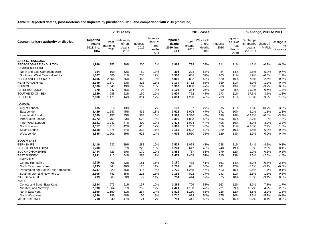**Table 9: Reported deaths, post-mortems and inquests by jurisdiction 2011, and comparison with 2010** *(continued)*

| Inquests<br>Inquests<br>Reported<br>Reported<br>PMs as %<br>PMs as %<br>% change<br>County / unitary authority or district<br>Post-<br>as % of<br>Post-<br>as % of<br>deaths<br>Inquests<br>deaths<br>in reported change in<br>of rep.<br>of rep.<br>Inquests<br>mortems<br>mortems<br>rep.<br>rep.<br>deaths<br>2011<br>2010, inc.<br>deaths<br>2010<br>% PMs<br>2011, inc.<br>deaths.<br>2011<br>2010<br>deaths<br>deaths<br>2011<br>2010<br>inc. NFA<br><b>NFA</b><br><b>NFA</b><br>2011<br>2010<br><b>EAST OF ENGLAND</b><br>BEDFORDSHIRE AND LUTON<br>752<br>39%<br>774<br>39%<br>$-0.7%$<br>1,946<br>200<br>10%<br>1,969<br>211<br>11%<br>$-1.2%$<br><b>CAMBRIDGESHIRE</b><br>North and East Cambridgeshire<br>384<br>199<br>52%<br>50<br>13%<br>395<br>228<br>58%<br>54<br>14%<br>$-2.8%$<br>$-5.9%$<br>586<br>12%<br>606<br>32%<br>South and West Cambridgeshire<br>1,867<br>31%<br>230<br>1,903<br>203<br>11%<br>$-1.9%$<br>$-0.5%$<br><b>ESSEX and THURROCK</b><br>4,605<br>2,555<br>55%<br>458<br>10%<br>2,892<br>58%<br>520<br>$-7.8%$<br>$-2.4%$<br>4,992<br>10%<br><b>HERTFORDSHIRE</b><br>2,949<br>1,577<br>53%<br>326<br>11%<br>3,134<br>1,712<br>55%<br>359<br>$-5.9%$<br>$-1.2%$<br>11%<br>47%<br><b>NORFOLK</b><br>3,800<br>1,643<br>43%<br>507<br>13%<br>3,903<br>1,838<br>508<br>13%<br>$-2.6%$<br>$-3.9%$<br><b>PETERBOROUGH</b><br>347<br>35%<br>93<br>9%<br>384<br>35%<br>90<br>8%<br>$-11.2%$<br>0.6%<br>979<br>1,103<br>SOUTHEND-ON-SEA<br>1,329<br>688<br>52%<br>160<br>12%<br>1,607<br>772<br>48%<br>173<br>$-17.3%$<br>3.7%<br>11%<br><b>SUFFOLK</b><br>2,680<br>1,178<br>314<br>12%<br>1,290<br>48%<br>289<br>$-0.5%$<br>$-3.9%$<br>44%<br>2,694<br>11% |                            |
|---------------------------------------------------------------------------------------------------------------------------------------------------------------------------------------------------------------------------------------------------------------------------------------------------------------------------------------------------------------------------------------------------------------------------------------------------------------------------------------------------------------------------------------------------------------------------------------------------------------------------------------------------------------------------------------------------------------------------------------------------------------------------------------------------------------------------------------------------------------------------------------------------------------------------------------------------------------------------------------------------------------------------------------------------------------------------------------------------------------------------------------------------------------------------------------------------------------------------------------------------------------------------------------------------------------------------------------------------------------------------------------------------------------------------------------------------------------------------------------------------------------------------------------------------------------------------------------------------------------------------------------------------------------------------------------|----------------------------|
|                                                                                                                                                                                                                                                                                                                                                                                                                                                                                                                                                                                                                                                                                                                                                                                                                                                                                                                                                                                                                                                                                                                                                                                                                                                                                                                                                                                                                                                                                                                                                                                                                                                                                       | change in<br>%<br>inquests |
|                                                                                                                                                                                                                                                                                                                                                                                                                                                                                                                                                                                                                                                                                                                                                                                                                                                                                                                                                                                                                                                                                                                                                                                                                                                                                                                                                                                                                                                                                                                                                                                                                                                                                       |                            |
|                                                                                                                                                                                                                                                                                                                                                                                                                                                                                                                                                                                                                                                                                                                                                                                                                                                                                                                                                                                                                                                                                                                                                                                                                                                                                                                                                                                                                                                                                                                                                                                                                                                                                       | $-0.4%$                    |
|                                                                                                                                                                                                                                                                                                                                                                                                                                                                                                                                                                                                                                                                                                                                                                                                                                                                                                                                                                                                                                                                                                                                                                                                                                                                                                                                                                                                                                                                                                                                                                                                                                                                                       | $-0.7%$                    |
|                                                                                                                                                                                                                                                                                                                                                                                                                                                                                                                                                                                                                                                                                                                                                                                                                                                                                                                                                                                                                                                                                                                                                                                                                                                                                                                                                                                                                                                                                                                                                                                                                                                                                       | 1.7%                       |
|                                                                                                                                                                                                                                                                                                                                                                                                                                                                                                                                                                                                                                                                                                                                                                                                                                                                                                                                                                                                                                                                                                                                                                                                                                                                                                                                                                                                                                                                                                                                                                                                                                                                                       | $-0.5%$                    |
|                                                                                                                                                                                                                                                                                                                                                                                                                                                                                                                                                                                                                                                                                                                                                                                                                                                                                                                                                                                                                                                                                                                                                                                                                                                                                                                                                                                                                                                                                                                                                                                                                                                                                       | $-0.4%$                    |
|                                                                                                                                                                                                                                                                                                                                                                                                                                                                                                                                                                                                                                                                                                                                                                                                                                                                                                                                                                                                                                                                                                                                                                                                                                                                                                                                                                                                                                                                                                                                                                                                                                                                                       | 0.3%                       |
|                                                                                                                                                                                                                                                                                                                                                                                                                                                                                                                                                                                                                                                                                                                                                                                                                                                                                                                                                                                                                                                                                                                                                                                                                                                                                                                                                                                                                                                                                                                                                                                                                                                                                       | 1.3%                       |
|                                                                                                                                                                                                                                                                                                                                                                                                                                                                                                                                                                                                                                                                                                                                                                                                                                                                                                                                                                                                                                                                                                                                                                                                                                                                                                                                                                                                                                                                                                                                                                                                                                                                                       | 1.3%                       |
|                                                                                                                                                                                                                                                                                                                                                                                                                                                                                                                                                                                                                                                                                                                                                                                                                                                                                                                                                                                                                                                                                                                                                                                                                                                                                                                                                                                                                                                                                                                                                                                                                                                                                       | 1.0%                       |
| <b>LONDON</b>                                                                                                                                                                                                                                                                                                                                                                                                                                                                                                                                                                                                                                                                                                                                                                                                                                                                                                                                                                                                                                                                                                                                                                                                                                                                                                                                                                                                                                                                                                                                                                                                                                                                         |                            |
| 37<br>City of London<br>135<br>18<br>13%<br>10<br>7%<br>137<br>27%<br>15<br>11%<br>$-1.5%$<br>$-13.7%$                                                                                                                                                                                                                                                                                                                                                                                                                                                                                                                                                                                                                                                                                                                                                                                                                                                                                                                                                                                                                                                                                                                                                                                                                                                                                                                                                                                                                                                                                                                                                                                | $-3.5%$                    |
| 1,547<br>432<br>13%<br>1,695<br>47%<br>10%<br>$-5.1%$<br>$-1.8%$<br>East London<br>3,429<br>45%<br>3,612<br>371                                                                                                                                                                                                                                                                                                                                                                                                                                                                                                                                                                                                                                                                                                                                                                                                                                                                                                                                                                                                                                                                                                                                                                                                                                                                                                                                                                                                                                                                                                                                                                       | 2.3%                       |
| 2,589<br>1,157<br>45%<br>384<br>15%<br>2,964<br>1,336<br>45%<br>536<br>18%<br>$-12.7%$<br>$-0.4%$<br>Inner North London                                                                                                                                                                                                                                                                                                                                                                                                                                                                                                                                                                                                                                                                                                                                                                                                                                                                                                                                                                                                                                                                                                                                                                                                                                                                                                                                                                                                                                                                                                                                                               | $-3.3%$                    |
| Inner South London<br>3,272<br>1,750<br>53%<br>528<br>16%<br>1,883<br>55%<br>496<br>15%<br>$-3.7%$<br>$-1.9%$<br>3,399                                                                                                                                                                                                                                                                                                                                                                                                                                                                                                                                                                                                                                                                                                                                                                                                                                                                                                                                                                                                                                                                                                                                                                                                                                                                                                                                                                                                                                                                                                                                                                | 1.5%                       |
| Inner West London<br>47%<br>5.9%<br>3.2%<br>2,621<br>1,242<br>490<br>19%<br>2,475<br>1.094<br>44%<br>408<br>16%                                                                                                                                                                                                                                                                                                                                                                                                                                                                                                                                                                                                                                                                                                                                                                                                                                                                                                                                                                                                                                                                                                                                                                                                                                                                                                                                                                                                                                                                                                                                                                       | 2.2%                       |
| North London<br>3,357<br>1,418<br>42%<br>418<br>12%<br>4,302<br>1,703<br>40%<br>459<br>11%<br>$-22.0%$<br>2.7%                                                                                                                                                                                                                                                                                                                                                                                                                                                                                                                                                                                                                                                                                                                                                                                                                                                                                                                                                                                                                                                                                                                                                                                                                                                                                                                                                                                                                                                                                                                                                                        | 1.8%                       |
| South London<br>3,128<br>1,375<br>44%<br>333<br>11%<br>1,602<br>50%<br>329<br>10%<br>$-1.8%$<br>$-6.3%$<br>3,186                                                                                                                                                                                                                                                                                                                                                                                                                                                                                                                                                                                                                                                                                                                                                                                                                                                                                                                                                                                                                                                                                                                                                                                                                                                                                                                                                                                                                                                                                                                                                                      | 0.3%                       |
| 3,886<br>1,501<br>39%<br>528<br>14%<br>4,003<br>1,510<br>38%<br>529<br>13%<br>$-2.9%$<br>0.9%<br>West London                                                                                                                                                                                                                                                                                                                                                                                                                                                                                                                                                                                                                                                                                                                                                                                                                                                                                                                                                                                                                                                                                                                                                                                                                                                                                                                                                                                                                                                                                                                                                                          | 0.4%                       |
| <b>SOUTH EAST</b>                                                                                                                                                                                                                                                                                                                                                                                                                                                                                                                                                                                                                                                                                                                                                                                                                                                                                                                                                                                                                                                                                                                                                                                                                                                                                                                                                                                                                                                                                                                                                                                                                                                                     |                            |
| <b>BERKSHIRE</b><br>932<br>39%<br>282<br>12%<br>2,527<br>43%<br>288<br>$-4.4%$<br>$-4.1%$<br>2,416<br>1,078<br>11%                                                                                                                                                                                                                                                                                                                                                                                                                                                                                                                                                                                                                                                                                                                                                                                                                                                                                                                                                                                                                                                                                                                                                                                                                                                                                                                                                                                                                                                                                                                                                                    | 0.3%                       |
| 1,200<br>613<br>51%<br>226<br>19%<br>1,281<br>617<br>48%<br>240<br>19%<br>$-6.3%$<br>2.9%<br><b>BRIGHTON AND HOVE</b>                                                                                                                                                                                                                                                                                                                                                                                                                                                                                                                                                                                                                                                                                                                                                                                                                                                                                                                                                                                                                                                                                                                                                                                                                                                                                                                                                                                                                                                                                                                                                                 | 0.1%                       |
| <b>BUCKINGHAMSHIRE</b><br>723<br>50%<br>170<br>12%<br>1,458<br>737<br>51%<br>179<br>12%<br>$-1.0%$<br>$-0.5%$<br>1,444                                                                                                                                                                                                                                                                                                                                                                                                                                                                                                                                                                                                                                                                                                                                                                                                                                                                                                                                                                                                                                                                                                                                                                                                                                                                                                                                                                                                                                                                                                                                                                | $-0.5%$                    |
| 57%<br><b>EAST SUSSEX</b><br>2,241<br>1,215<br>54%<br>388<br>17%<br>2,479<br>1,408<br>315<br>13%<br>$-9.6%$<br>$-2.6%$<br><b>HAMPSHIRE</b>                                                                                                                                                                                                                                                                                                                                                                                                                                                                                                                                                                                                                                                                                                                                                                                                                                                                                                                                                                                                                                                                                                                                                                                                                                                                                                                                                                                                                                                                                                                                            | 4.6%                       |
| <b>Central Hampshire</b><br>1,119<br>466<br>42%<br>181<br>16%<br>1.180<br>482<br>41%<br>161<br>14%<br>$-5.2%$<br>0.8%                                                                                                                                                                                                                                                                                                                                                                                                                                                                                                                                                                                                                                                                                                                                                                                                                                                                                                                                                                                                                                                                                                                                                                                                                                                                                                                                                                                                                                                                                                                                                                 | 2.5%                       |
| 544<br>48%<br>53%<br>$-6.1%$<br>$-5.1%$<br>North East Hampshire<br>1,135<br>125<br>11%<br>1,209<br>641<br>141<br>12%                                                                                                                                                                                                                                                                                                                                                                                                                                                                                                                                                                                                                                                                                                                                                                                                                                                                                                                                                                                                                                                                                                                                                                                                                                                                                                                                                                                                                                                                                                                                                                  | $-0.6%$                    |
| $-1.7%$<br>Portsmouth and South East Hampshire<br>2,737<br>1,220<br>45%<br>417<br>15%<br>2,720<br>1,258<br>46%<br>413<br>15%<br>0.6%                                                                                                                                                                                                                                                                                                                                                                                                                                                                                                                                                                                                                                                                                                                                                                                                                                                                                                                                                                                                                                                                                                                                                                                                                                                                                                                                                                                                                                                                                                                                                  | 0.1%                       |
| 802<br>2,105<br>741<br>35%<br>223<br>11%<br>2,166<br>37%<br>243<br>$-2.8%$<br>$-1.8%$<br>Southampton and New Forest<br>11%                                                                                                                                                                                                                                                                                                                                                                                                                                                                                                                                                                                                                                                                                                                                                                                                                                                                                                                                                                                                                                                                                                                                                                                                                                                                                                                                                                                                                                                                                                                                                            | $-0.6%$                    |
| <b>ISLE OF WIGHT</b><br>733<br>363<br>79<br>754<br>75<br>50%<br>11%<br>444<br>59%<br>10%<br>$-2.8%$<br>$-9.4%$                                                                                                                                                                                                                                                                                                                                                                                                                                                                                                                                                                                                                                                                                                                                                                                                                                                                                                                                                                                                                                                                                                                                                                                                                                                                                                                                                                                                                                                                                                                                                                        | 0.8%                       |
| <b>KENT</b>                                                                                                                                                                                                                                                                                                                                                                                                                                                                                                                                                                                                                                                                                                                                                                                                                                                                                                                                                                                                                                                                                                                                                                                                                                                                                                                                                                                                                                                                                                                                                                                                                                                                           |                            |
| Central and South East Kent<br>1,334<br>675<br>51%<br>137<br>10%<br>796<br>58%<br>12%<br>$-2.1%$<br>$-7.8%$<br>1,362<br>163                                                                                                                                                                                                                                                                                                                                                                                                                                                                                                                                                                                                                                                                                                                                                                                                                                                                                                                                                                                                                                                                                                                                                                                                                                                                                                                                                                                                                                                                                                                                                           | $-1.7%$                    |
| 2,090<br>1,064<br>51%<br>252<br>12%<br>2,421<br>1,130<br>47%<br>221<br>9%<br>$-13.7%$<br>4.2%<br>Mid Kent and Medway                                                                                                                                                                                                                                                                                                                                                                                                                                                                                                                                                                                                                                                                                                                                                                                                                                                                                                                                                                                                                                                                                                                                                                                                                                                                                                                                                                                                                                                                                                                                                                  | 2.9%                       |
| 61%<br>264<br>63%<br>226<br>3.8%<br>$-2.9%$<br>North East Kent<br>1,898<br>1,150<br>14%<br>1,828<br>1,160<br>12%                                                                                                                                                                                                                                                                                                                                                                                                                                                                                                                                                                                                                                                                                                                                                                                                                                                                                                                                                                                                                                                                                                                                                                                                                                                                                                                                                                                                                                                                                                                                                                      | 1.5%                       |
| 786<br>$-5.7%$<br>North West Kent<br>1,636<br>48%<br>155<br>9%<br>1,710<br>919<br>54%<br>175<br>10%<br>$-4.3%$                                                                                                                                                                                                                                                                                                                                                                                                                                                                                                                                                                                                                                                                                                                                                                                                                                                                                                                                                                                                                                                                                                                                                                                                                                                                                                                                                                                                                                                                                                                                                                        | $-0.8%$                    |
| 718<br>340<br>47%<br>121<br>441<br>56%<br>126<br>$-9.2%$<br><b>MILTON KEYNES</b><br>17%<br>791<br>16%<br>$-8.4%$                                                                                                                                                                                                                                                                                                                                                                                                                                                                                                                                                                                                                                                                                                                                                                                                                                                                                                                                                                                                                                                                                                                                                                                                                                                                                                                                                                                                                                                                                                                                                                      | 0.9%                       |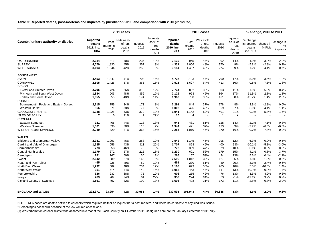**Table 9: Reported deaths, post-mortems and inquests by jurisdiction 2011, and comparison with 2010** *(continued)*

|                                           |                                                       |                          | 2011 cases                            |                  |                                               | 2010 cases                                     |                          |                                       |                  |                                               | % change, 2010 to 2011                                   |          |                            |
|-------------------------------------------|-------------------------------------------------------|--------------------------|---------------------------------------|------------------|-----------------------------------------------|------------------------------------------------|--------------------------|---------------------------------------|------------------|-----------------------------------------------|----------------------------------------------------------|----------|----------------------------|
| County / unitary authority or district    | <b>Reported</b><br>deaths<br>2011, inc.<br><b>NFA</b> | Post-<br>mortems<br>2011 | PMs as %<br>of rep.<br>deaths<br>2011 | Inquests<br>2011 | Inquests<br>as % of<br>rep.<br>deaths<br>2011 | Reported<br>deaths<br>2010, inc.<br><b>NFA</b> | Post-<br>mortems<br>2010 | PMs as %<br>of rep.<br>deaths<br>2010 | Inquests<br>2010 | Inquests<br>as % of<br>rep.<br>deaths<br>2010 | % change<br>in reported change in<br>deaths,<br>inc. NFA | % PMs    | change in<br>%<br>inquests |
| <b>OXFORDSHIRE</b>                        | 2,034                                                 | 819                      | 40%                                   | 237              | 12%                                           | 2,139                                          | 945                      | 44%                                   | 292              | 14%                                           | $-4.9%$                                                  | $-3.9%$  | $-2.0%$                    |
| <b>SURREY</b>                             | 4,079                                                 | 1,830                    | 45%                                   | 357              | 9%                                            | 4,331                                          | 2,066                    | 48%                                   | 370              | 9%                                            | $-5.8%$                                                  | $-2.8%$  | 0.2%                       |
| <b>WEST SUSSEX</b>                        | 3,193                                                 | 1,344                    | 42%                                   | 256              | 8%                                            | 3,154                                          | 1,457                    | 46%                                   | 274              | 9%                                            | 1.2%                                                     | $-4.1%$  | $-0.7%$                    |
| <b>SOUTH WEST</b>                         |                                                       |                          |                                       |                  |                                               |                                                |                          |                                       |                  |                                               |                                                          |          |                            |
| <b>AVON</b>                               | 4,493                                                 | 1,842                    | 41%                                   | 708              | 16%                                           | 4,727                                          | 2,103                    | 44%                                   | 790              | 17%                                           | $-5.0%$                                                  | $-3.5%$  | $-1.0%$                    |
| <b>CORNWALL</b>                           | 2,505                                                 | 1,426                    | 57%                                   | 365              | 15%                                           | 2,525                                          | 1,627                    | 64%                                   | 413              | 16%                                           | $-0.8%$                                                  | $-7.5%$  | $-1.8%$                    |
| <b>DEVON</b>                              |                                                       |                          |                                       |                  |                                               |                                                |                          |                                       |                  |                                               |                                                          |          |                            |
| <b>Exeter and Greater Devon</b>           | 2,765                                                 | 724                      | 26%                                   | 319              | 12%                                           | 2,715                                          | 862                      | 32%                                   | 303              | 11%                                           | 1.8%                                                     | $-5.6%$  | 0.4%                       |
| Plymouth and South West Devon             | 1,884                                                 | 906                      | 48%                                   | 356              | 19%                                           | 2,125                                          | 963                      | 45%                                   | 364              | 17%                                           | $-11.3%$                                                 | 2.8%     | 1.8%                       |
| Torbay and South Devon<br><b>DORSET</b>   | 1,655                                                 | 655                      | 40%                                   | 174              | 11%                                           | 1,963                                          | 750                      | 38%                                   | 161              | 8%                                            | $-15.7%$                                                 | 1.4%     | 2.3%                       |
| Bournemouth, Poole and Eastern Dorset     | 2,215                                                 | 759                      | 34%                                   | 173              | 8%                                            | 2,291                                          | 849                      | 37%                                   | 178              | 8%                                            | $-3.3%$                                                  | $-2.8%$  | 0.0%                       |
| <b>Western Dorset</b>                     | 966                                                   | 371                      | 38%                                   | 77               | 8%                                            | 1,002                                          | 426                      | 43%                                   | 69               | 7%                                            | $-3.6%$                                                  | $-4.1%$  | 1.1%                       |
| <b>GLOUCESTERSHIRE</b>                    | 1,938                                                 | 1,028                    | 53%                                   | 372              | 19%                                           | 1,941                                          | 1,142                    | 59%                                   | 401              | 21%                                           | $-0.2%$                                                  | $-5.8%$  | $-1.5%$                    |
| <b>ISLES OF SCILLY</b><br><b>SOMERSET</b> | $\overline{7}$                                        | 5                        | 71%                                   | 2                | 29%                                           | 10                                             | $\overline{4}$           | $\star$                               | $\overline{1}$   | $\star$                                       | $\star$                                                  | $\star$  | $\star$                    |
| <b>Eastern Somerset</b>                   | 921                                                   | 405                      | 44%                                   | 118              | 13%                                           | 941                                            | 481                      | 51%                                   | 128              | 14%                                           | $-2.1%$                                                  | $-7.1%$  | $-0.8%$                    |
| <b>Western Somerset</b>                   | 1,301                                                 | 390                      | 30%                                   | 113              | 9%                                            | 1,344                                          | 491                      | 37%                                   | 123              | 9%                                            | $-3.2%$                                                  | $-6.6%$  | $-0.5%$                    |
| WILTSHIRE and SWINDON                     | 2,240                                                 | 829                      | 37%                                   | 364              | 16%                                           | 2,255                                          | 1,010                    | 45%                                   | 370              | 16%                                           | $-0.7%$                                                  | $-7.8%$  | $-0.2%$                    |
| <b>WALES</b>                              |                                                       |                          |                                       |                  |                                               |                                                |                          |                                       |                  |                                               |                                                          |          |                            |
| Bridgend and Glamorgan Valleys            | 2,381                                                 | 1,093                    | 46%                                   | 288              | 12%                                           | 2,542                                          | 1,145                    | 45%                                   | 295              | 12%                                           | $-6.3%$                                                  | 0.9%     | 0.5%                       |
| Cardiff and Vale of Glamorgan             | 1,535                                                 | 656                      | 43%                                   | 313              | 20%                                           | 1,707                                          | 828                      | 49%                                   | 400              | 23%                                           | $-10.1%$                                                 | $-5.8%$  | $-3.0%$                    |
| Carmarthenshire                           | 773                                                   | 353                      | 46%                                   | 73               | 9%                                            | 772                                            | 359                      | 47%                                   | 79               | 10%                                           | 0.1%                                                     | $-0.8%$  | $-0.8%$                    |
| <b>Central North Wales</b>                | 1,179                                                 | 672                      | 57%                                   | 215              | 18%                                           | 1,230                                          | 691                      | 56%                                   | 179              | 15%                                           | $-4.1%$                                                  | 0.8%     | 3.7%                       |
| Ceredigion                                | 281                                                   | 167                      | 59%                                   | 30               | 11%                                           | 266                                            | 157                      | 59%                                   | 34               | 13%                                           | 5.6%                                                     | 0.4%     | $-2.1%$                    |
| Gwent                                     | 2,642                                                 | 989                      | 37%                                   | 145              | 5%                                            | 2,596                                          | 1,012                    | 39%                                   | 127              | 5%                                            | 1.8%                                                     | $-1.5%$  | 0.6%                       |
| Neath and Port Talbot                     | 465                                                   | 226                      | 49%                                   | 89               | 19%                                           | 451                                            | 230                      | 51%                                   | 89               | 20%                                           | 3.1%                                                     | $-2.4%$  | $-0.6%$                    |
| <b>North East Wales</b>                   | 1.232                                                 | 589                      | 48%                                   | 234              | 19%                                           | 1.168                                          | 679                      | 58%                                   | 205              | 18%                                           | 5.5%                                                     | $-10.3%$ | 1.4%                       |
| North West Wales                          | 951                                                   | 414                      | 44%                                   | 140              | 15%                                           | 1,058                                          | 463                      | 44%                                   | 141              | 13%                                           | $-10.1%$                                                 | $-0.2%$  | 1.4%                       |
| Pembrokeshire                             | 626                                                   | 237                      | 38%                                   | 75               | 12%                                           | 606                                            | 255                      | 42%                                   | 76               | 13%                                           | 3.3%                                                     | $-4.2%$  | $-0.6%$                    |
| Powys                                     | 283                                                   | 209                      | 74%                                   | 61               | 22%                                           | 350                                            | 224                      | 64%                                   | 73               | 21%                                           | $-19.1%$                                                 | 9.9%     | 0.7%                       |
| City and County of Swansea                | 1,561                                                 | 497                      | 32%                                   | 199              | 13%                                           | 1,606                                          | 498                      | 31%                                   | 173              | 11%                                           | $-2.8%$                                                  | 0.8%     | 2.0%                       |
| <b>ENGLAND and WALES</b>                  | 222,371                                               | 93,954                   | 42%                                   | 30,981           | 14%                                           | 230,595                                        | 101,943                  | 44%                                   | 30,848           | 13%                                           | $-3.6\%$                                                 | $-2.0%$  | 0.8%                       |

NOTE: NFA cases are deaths notified to coroners which required neither an inquest nor a post-mortem, and where no certificate of any kind was issued.

\* Percentages not shown because of the low volume of caseload.

(1) Wolverhampton coroner district was absorbed into that of the Black Country on 1 October 2011, so figures here are for January-September 2011 only.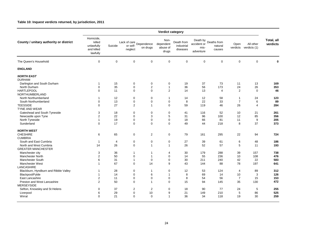#### **Table 10: Inquest verdicts returned, by jurisdiction, 2011**

|                                                                         |                                                             | Verdict category |                                     |                             |                                        |                                      |                                  |                                           |                  |                           |                        |  |  |
|-------------------------------------------------------------------------|-------------------------------------------------------------|------------------|-------------------------------------|-----------------------------|----------------------------------------|--------------------------------------|----------------------------------|-------------------------------------------|------------------|---------------------------|------------------------|--|--|
| County / unitary authority or district                                  | Homicide,<br>killed<br>unlawfully<br>and killed<br>lawfully | Suicide          | Lack of care<br>or self-<br>neglect | Dependence<br>on drugs      | Non-<br>dependent<br>abuse of<br>drugs | Death from<br>industrial<br>diseases | accident or<br>mis-<br>adventure | Death by Deaths from<br>natural<br>causes | Open<br>verdicts | All other<br>verdicts (1) | Total, all<br>verdicts |  |  |
| The Queen's Household                                                   | $\boldsymbol{0}$                                            | $\pmb{0}$        | $\mathbf 0$                         | $\mathbf 0$                 | $\mathbf 0$                            | $\mathbf 0$                          | 0                                | 0                                         | $\mathbf 0$      | $\mathbf 0$               | 0                      |  |  |
| <b>ENGLAND</b>                                                          |                                                             |                  |                                     |                             |                                        |                                      |                                  |                                           |                  |                           |                        |  |  |
| <b>NORTH EAST</b><br><b>DURHAM</b><br>Darlington and South Durham       | $\mathbf{1}$                                                | 15               | 0                                   | $\mathbf 0$                 | $\mathbf 0$                            | 19                                   | 37                               | 73                                        | 11               | 13                        | 169                    |  |  |
| North Durham                                                            | $\mathbf 0$                                                 | 35               | $\mathbf 0$                         | $\overline{\mathbf{c}}$     | 1                                      | 36                                   | 56                               | 173                                       | 24               | 26                        | 353                    |  |  |
| <b>HARTLEPOOL</b><br>NORTHUMBERLAND                                     | $\Omega$                                                    | 11               | $\mathbf 0$                         | $\mathbf 0$                 | $\overline{2}$                         | 14                                   | 13                               | $\overline{4}$                            | $\overline{2}$   | $\mathbf 0$               | 46                     |  |  |
| North Northumberland                                                    | $\mathbf{1}$                                                | 12               | $\mathbf 0$                         | $\mathbf 0$                 | $\mathbf{1}$                           | 14                                   | 12                               | 58                                        | $\overline{1}$   | 24                        | 123                    |  |  |
| South Northumberland                                                    | $\mathbf 0$                                                 | 13               | $\mathbf 0$                         | $\mathbf 0$                 | $\mathbf 0$                            | 8                                    | 22                               | 33                                        | $\overline{7}$   | 6                         | 89                     |  |  |
| <b>TEESSIDE</b><br><b>TYNE AND WEAR</b><br>Gateshead and South Tyneside | $\mathbf 0$                                                 | 27<br>18         | $\overline{2}$                      | $\mathbf{1}$                | $\mathbf 0$<br>$\mathbf 0$             | 59                                   | 119                              | 46                                        | 26               | $\overline{4}$            | 284<br>261             |  |  |
| Newcastle upon Tyne                                                     | 3<br>$\sqrt{2}$                                             | 22               | $\mathbf 0$<br>$\mathbf 0$          | $\mathbf 0$<br>3            | 5                                      | 41<br>31                             | 116<br>96                        | 52<br>100                                 | 10<br>12         | 21<br>85                  | 356                    |  |  |
| North Tyneside                                                          | $\mathbf{1}$                                                | 19               | $\mathbf 0$                         | $\mathbf 0$                 | $\mathbf 0$                            | 18                                   | 66                               | 81                                        | 11               | 9                         | 205                    |  |  |
| Sunderland                                                              | $\Omega$                                                    | 17               | $\Omega$                            | $\mathbf 0$                 | $\Omega$                               | 49                                   | 44                               | 218                                       | 8                | 37                        | 373                    |  |  |
| <b>NORTH WEST</b>                                                       |                                                             |                  |                                     |                             |                                        |                                      |                                  |                                           |                  |                           |                        |  |  |
| <b>CHESHIRE</b>                                                         | 6                                                           | 65               | 0                                   | 2                           | $\mathbf 0$                            | 79                                   | 161                              | 295                                       | 22               | 94                        | 724                    |  |  |
| <b>CUMBRIA</b><br>South and East Cumbria                                | $\mathbf{1}$                                                | $\overline{4}$   | $\mathbf 0$                         | $\mathbf 0$                 | $\pmb{0}$                              | 27                                   | 39                               | 61                                        | 6                | 48                        | 186                    |  |  |
| North and West Cumbria                                                  | 14                                                          | 26               | $\mathbf 0$                         | $\mathbf{1}$                | $\mathbf{1}$                           | 26                                   | 52                               | 57                                        | 5                | 11                        | 193                    |  |  |
| <b>GREATER MANCHESTER</b>                                               |                                                             |                  |                                     |                             |                                        |                                      |                                  |                                           |                  |                           |                        |  |  |
| Manchester city                                                         | 3                                                           | 36               | 1                                   | 1                           | 4                                      | 30                                   | 179                              | 288                                       | 39               | 157                       | 738                    |  |  |
| <b>Manchester North</b>                                                 | $\overline{2}$                                              | 50               | $\mathbf 0$                         | $\overline{1}$              | $\mathbf 0$                            | 14                                   | 55                               | 236                                       | 10               | 108                       | 476                    |  |  |
| <b>Manchester South</b>                                                 | 6                                                           | 31               | $\mathbf{1}$                        | $\mathbf 0$                 | $\mathbf 0$                            | 30                                   | 211                              | 240                                       | 42               | 22                        | 583                    |  |  |
| <b>Manchester West</b><br>LANCASHIRE                                    | $\mathbf{1}$                                                | 67               | $\overline{0}$                      | 14                          | 9                                      | 43                                   | 144                              | 88                                        | 78               | 197                       | 641                    |  |  |
| Blackburn, Hyndburn and Ribble Valley                                   | $\mathbf{1}$                                                | 28               | 0                                   | $\mathbf{1}$                | $\mathbf 0$                            | 12                                   | 53                               | 124                                       | $\overline{4}$   | 89                        | 312                    |  |  |
| Blackpool/Fylde                                                         | $\mathbf{1}$                                                | 14               | $\mathbf 0$                         | 6                           | $\mathbf{1}$                           | 8                                    | 69                               | 14                                        | 10               | 3                         | 126                    |  |  |
| East Lancashire                                                         | $\overline{2}$<br>$\overline{2}$                            | 11               | $\overline{0}$                      | $\mathbf 0$<br>$\mathbf{1}$ | $\mathbf 0$                            | 8                                    | 54                               | 56                                        | $\overline{7}$   | 15                        | 153                    |  |  |
| Preston and West Lancashire<br><b>MERSEYSIDE</b>                        |                                                             | 50               | $\mathbf 0$                         |                             | $\Omega$                               | 15                                   | 94                               | 145                                       | 35               | 130                       | 472                    |  |  |
| Sefton, Knowsley and St Helens                                          | $\mathbf 0$                                                 | 37               | $\overline{c}$<br>0                 | $\overline{2}$<br>10        | $\mathbf 0$                            | 18                                   | 90<br>149                        | 77<br>210                                 | 24               | 5<br>86                   | 255<br>525             |  |  |
| Liverpool<br>Wirral                                                     | 6<br>$\Omega$                                               | 29<br>21         | $\Omega$                            | $\Omega$                    | 9<br>$\mathbf{1}$                      | 21<br>36                             | 34                               | 118                                       | $\sqrt{5}$<br>19 | 30                        | 259                    |  |  |
|                                                                         |                                                             |                  |                                     |                             |                                        |                                      |                                  |                                           |                  |                           |                        |  |  |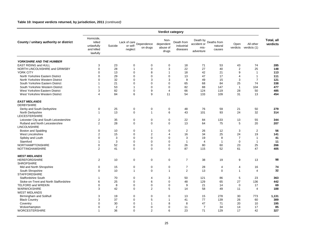#### **Table 10: Inquest verdicts returned, by jurisdiction, 2011** *(continued)*

| Homicide,<br>Total, all<br>Non-<br>Death by<br>Deaths from<br>County / unitary authority or district<br>killed<br>Death from<br>Lack of care<br>Lack of care<br>Lependence<br>dependent<br>accident or<br>Open<br>All other<br>verdicts<br>Suicide<br>industrial<br>unlawfully<br>natural<br>or self-<br>on drugs<br>abuse of<br>verdicts<br>verdicts (1)<br>mis-<br>and killed<br>diseases<br>neglect<br>causes<br>drugs<br>adventure<br>lawfully<br><b>YORKSHIRE AND THE HUMBER</b><br>71<br>74<br><b>EAST RIDING and HULL</b><br>3<br>23<br>0<br>0<br>0<br>18<br>53<br>43<br>285<br>28<br>$\overline{c}$<br>25<br>NORTH LINCOLNSHIRE and GRIMSBY<br>$\mathbf 0$<br>3<br>22<br>27<br>40<br>148<br>0<br>1<br>9<br>YORK CITY<br>13<br>$\mathbf 0$<br>8<br>18<br>42<br>21<br>$\mathbf{1}$<br>113<br>$\Omega$<br>1<br>29<br>47<br>North Yorkshire Eastern District<br>$\mathbf 0$<br>$\mathbf 0$<br>$\mathbf 0$<br>$\mathbf 0$<br>13<br>17<br>$\overline{1}$<br>111<br>4<br>North Yorkshire Western District<br>$\mathbf 0$<br>32<br>$\mathbf 0$<br>3<br>3<br>9<br>49<br>15<br>3<br>$\overline{7}$<br>121<br>21<br>25<br>338<br>South Yorkshire Eastern District<br>$\mathbf 0$<br>$\mathbf 0$<br>$\mathbf 0$<br>65<br>68<br>84<br>74<br>$\mathbf{1}$<br>53<br>$\mathbf 0$<br>$\mathbf 0$<br>82<br>88<br>147<br>$\overline{1}$<br>104<br>477<br>South Yorkshire Western District<br>$\mathbf{1}$<br>$\mathbf{1}$<br>485<br>West Yorkshire Eastern District<br>3<br>82<br>0<br>9<br>66<br>124<br>119<br>28<br>50<br>$\overline{4}$<br>84<br>6<br>9<br>454<br>West Yorkshire Western District<br>11<br>54<br>133<br>109<br>31<br>13<br>4<br><b>EAST MIDLANDS</b><br><b>DERBYSHIRE</b><br>Derby and South Derbyshire<br>$\mathbf 0$<br>25<br>0<br>$\mathbf 0$<br>$\mathbf 0$<br>48<br>76<br>59<br>21<br>50<br>279<br>314<br>13<br>24<br><b>North Derbyshire</b><br>$\mathbf{1}$<br>0<br>$\mathbf{1}$<br>6<br>43<br>101<br>93<br>32<br>LEICESTERSHIRE<br>344<br>Leicester City and South Leicestershire<br>2<br>35<br>0<br>$\mathbf 0$<br>0<br>22<br>84<br>133<br>13<br>55<br>$\overline{2}$<br>28<br>$\mathbf 0$<br>$\mathbf 0$<br>$\mathbf 0$<br>13<br>75<br>5<br>20<br>207<br>Rutland and North Leicestershire<br>64<br><b>LINCOLNSHIRE</b><br>$\mathbf 0$<br>10<br>$\Omega$<br>$\mathbf 0$<br>$\overline{2}$<br>26<br>12<br>3<br>$\overline{2}$<br>56<br>Boston and Spalding<br>$\mathbf{1}$<br>$\overline{2}$<br>$\overline{2}$<br>16<br>34<br>25<br>24<br>19<br>141<br>West Lincolnshire<br>15<br>0<br>$\overline{4}$<br>$\mathbf 0$<br>3<br>0<br>$\mathbf 0$<br>$\mathbf 0$<br>3<br>19<br>8<br>$\overline{7}$<br>41<br>Spilsby and Louth<br>$\overline{1}$<br>3<br>$\mathbf 0$<br>11<br>Stamford<br>0<br>$\mathbf 0$<br>$\mathbf 0$<br>$\mathbf{1}$<br>$\overline{4}$<br>$\overline{1}$<br>$\overline{1}$<br>$\mathbf 1$<br>52<br>25<br>266<br>NORTHAMPTONSHIRE<br>0<br>0<br>$\mathbf 0$<br>0<br>26<br>80<br>60<br>23<br>$\overline{2}$<br>$\Omega$<br>$\Omega$<br>$\Omega$<br>87<br>52<br>47<br>405<br>NOTTINGHAMSHIRE<br>41<br>115<br>61<br><b>WEST MIDLANDS</b><br><b>HEREFORDSHIRE</b><br>2<br>10<br>0<br>$\mathbf 0$<br>0<br>$\overline{7}$<br>38<br>19<br>9<br>13<br>98<br><b>SHROPSHIRE</b><br>Mid and North Shropshire<br>$\mathbf 0$<br>$\mathbf 0$<br>$\mathbf 0$<br>$\overline{7}$<br>28<br>0<br>15<br>$\overline{4}$<br>$\overline{4}$<br>16<br>74<br>$\overline{2}$<br>$\mathbf 0$<br>32<br>South Shropshire<br>$\mathbf 0$<br>10<br>13<br>$\mathbf 0$<br>$\overline{1}$<br>$\mathbf{1}$<br>$\mathbf{1}$<br>$\overline{4}$<br><b>STAFFORDSHIRE</b><br>70<br>$\mathbf 0$<br>3<br>50<br>86<br>5<br>23<br>363<br><b>Staffordshire South</b><br>121<br>$\mathbf 1$<br>4<br>Stoke-on-Trent and North Staffordshire<br>6<br>25<br>$\Omega$<br>6<br>$\Omega$<br>48<br>129<br>65<br>27<br>136<br>442<br><b>TELFORD and WREKIN</b><br>21<br>69<br>$\mathbf 0$<br>8<br>0<br>$\mathbf 0$<br>0<br>9<br>14<br>$\mathbf 0$<br>17<br><b>WARWICKSHIRE</b><br>42<br>2<br>5<br>188<br>3<br>$\Omega$<br>14<br>58<br>49<br>11<br>$\overline{4}$<br><b>WEST MIDLANDS</b><br>Birmingham and Solihull<br>3<br>19<br>0<br>0<br>0<br>13<br>15<br>278<br>30<br>773<br>1,131<br>389<br>3<br>37<br>$\Omega$<br>5<br>41<br>77<br>139<br>26<br>60<br><b>Black Country</b><br>$\mathbf 1$<br>195<br>30<br>$\mathbf 0$<br>8<br>8<br>47<br>71<br>20<br>Coventry<br>$\Omega$<br>10<br>$\overline{1}$<br>$\overline{2}$<br>$\mathbf 0$<br>$\mathbf 0$<br>$\mathbf 0$<br>$\overline{7}$<br>34<br>17<br>85<br>Wolverhampton<br>0<br>11<br>14<br>327<br><b>WORCESTERSHIRE</b><br>36<br>$\Omega$<br>$\overline{2}$<br>6<br>23<br>71<br>129<br>17<br>42<br>1 | Verdict category |  |  |  |  |  |  |  |  |  |  |
|------------------------------------------------------------------------------------------------------------------------------------------------------------------------------------------------------------------------------------------------------------------------------------------------------------------------------------------------------------------------------------------------------------------------------------------------------------------------------------------------------------------------------------------------------------------------------------------------------------------------------------------------------------------------------------------------------------------------------------------------------------------------------------------------------------------------------------------------------------------------------------------------------------------------------------------------------------------------------------------------------------------------------------------------------------------------------------------------------------------------------------------------------------------------------------------------------------------------------------------------------------------------------------------------------------------------------------------------------------------------------------------------------------------------------------------------------------------------------------------------------------------------------------------------------------------------------------------------------------------------------------------------------------------------------------------------------------------------------------------------------------------------------------------------------------------------------------------------------------------------------------------------------------------------------------------------------------------------------------------------------------------------------------------------------------------------------------------------------------------------------------------------------------------------------------------------------------------------------------------------------------------------------------------------------------------------------------------------------------------------------------------------------------------------------------------------------------------------------------------------------------------------------------------------------------------------------------------------------------------------------------------------------------------------------------------------------------------------------------------------------------------------------------------------------------------------------------------------------------------------------------------------------------------------------------------------------------------------------------------------------------------------------------------------------------------------------------------------------------------------------------------------------------------------------------------------------------------------------------------------------------------------------------------------------------------------------------------------------------------------------------------------------------------------------------------------------------------------------------------------------------------------------------------------------------------------------------------------------------------------------------------------------------------------------------------------------------------------------------------------------------------------------------------------------------------------------------------------------------------------------------------------------------------------------------------------------------------------------------------------------------------------------------------------------------------------------------------------------------------------------------------------------------------------------------------------------------------------------------------------------------------------------------------------------------------------------------------------------------------------------------------------------------------------------------------------------------------------------------------------------------------------------------------------------------------------------------------------------------------------------------|------------------|--|--|--|--|--|--|--|--|--|--|
|                                                                                                                                                                                                                                                                                                                                                                                                                                                                                                                                                                                                                                                                                                                                                                                                                                                                                                                                                                                                                                                                                                                                                                                                                                                                                                                                                                                                                                                                                                                                                                                                                                                                                                                                                                                                                                                                                                                                                                                                                                                                                                                                                                                                                                                                                                                                                                                                                                                                                                                                                                                                                                                                                                                                                                                                                                                                                                                                                                                                                                                                                                                                                                                                                                                                                                                                                                                                                                                                                                                                                                                                                                                                                                                                                                                                                                                                                                                                                                                                                                                                                                                                                                                                                                                                                                                                                                                                                                                                                                                                                                                                                                    |                  |  |  |  |  |  |  |  |  |  |  |
|                                                                                                                                                                                                                                                                                                                                                                                                                                                                                                                                                                                                                                                                                                                                                                                                                                                                                                                                                                                                                                                                                                                                                                                                                                                                                                                                                                                                                                                                                                                                                                                                                                                                                                                                                                                                                                                                                                                                                                                                                                                                                                                                                                                                                                                                                                                                                                                                                                                                                                                                                                                                                                                                                                                                                                                                                                                                                                                                                                                                                                                                                                                                                                                                                                                                                                                                                                                                                                                                                                                                                                                                                                                                                                                                                                                                                                                                                                                                                                                                                                                                                                                                                                                                                                                                                                                                                                                                                                                                                                                                                                                                                                    |                  |  |  |  |  |  |  |  |  |  |  |
|                                                                                                                                                                                                                                                                                                                                                                                                                                                                                                                                                                                                                                                                                                                                                                                                                                                                                                                                                                                                                                                                                                                                                                                                                                                                                                                                                                                                                                                                                                                                                                                                                                                                                                                                                                                                                                                                                                                                                                                                                                                                                                                                                                                                                                                                                                                                                                                                                                                                                                                                                                                                                                                                                                                                                                                                                                                                                                                                                                                                                                                                                                                                                                                                                                                                                                                                                                                                                                                                                                                                                                                                                                                                                                                                                                                                                                                                                                                                                                                                                                                                                                                                                                                                                                                                                                                                                                                                                                                                                                                                                                                                                                    |                  |  |  |  |  |  |  |  |  |  |  |
|                                                                                                                                                                                                                                                                                                                                                                                                                                                                                                                                                                                                                                                                                                                                                                                                                                                                                                                                                                                                                                                                                                                                                                                                                                                                                                                                                                                                                                                                                                                                                                                                                                                                                                                                                                                                                                                                                                                                                                                                                                                                                                                                                                                                                                                                                                                                                                                                                                                                                                                                                                                                                                                                                                                                                                                                                                                                                                                                                                                                                                                                                                                                                                                                                                                                                                                                                                                                                                                                                                                                                                                                                                                                                                                                                                                                                                                                                                                                                                                                                                                                                                                                                                                                                                                                                                                                                                                                                                                                                                                                                                                                                                    |                  |  |  |  |  |  |  |  |  |  |  |
|                                                                                                                                                                                                                                                                                                                                                                                                                                                                                                                                                                                                                                                                                                                                                                                                                                                                                                                                                                                                                                                                                                                                                                                                                                                                                                                                                                                                                                                                                                                                                                                                                                                                                                                                                                                                                                                                                                                                                                                                                                                                                                                                                                                                                                                                                                                                                                                                                                                                                                                                                                                                                                                                                                                                                                                                                                                                                                                                                                                                                                                                                                                                                                                                                                                                                                                                                                                                                                                                                                                                                                                                                                                                                                                                                                                                                                                                                                                                                                                                                                                                                                                                                                                                                                                                                                                                                                                                                                                                                                                                                                                                                                    |                  |  |  |  |  |  |  |  |  |  |  |
|                                                                                                                                                                                                                                                                                                                                                                                                                                                                                                                                                                                                                                                                                                                                                                                                                                                                                                                                                                                                                                                                                                                                                                                                                                                                                                                                                                                                                                                                                                                                                                                                                                                                                                                                                                                                                                                                                                                                                                                                                                                                                                                                                                                                                                                                                                                                                                                                                                                                                                                                                                                                                                                                                                                                                                                                                                                                                                                                                                                                                                                                                                                                                                                                                                                                                                                                                                                                                                                                                                                                                                                                                                                                                                                                                                                                                                                                                                                                                                                                                                                                                                                                                                                                                                                                                                                                                                                                                                                                                                                                                                                                                                    |                  |  |  |  |  |  |  |  |  |  |  |
|                                                                                                                                                                                                                                                                                                                                                                                                                                                                                                                                                                                                                                                                                                                                                                                                                                                                                                                                                                                                                                                                                                                                                                                                                                                                                                                                                                                                                                                                                                                                                                                                                                                                                                                                                                                                                                                                                                                                                                                                                                                                                                                                                                                                                                                                                                                                                                                                                                                                                                                                                                                                                                                                                                                                                                                                                                                                                                                                                                                                                                                                                                                                                                                                                                                                                                                                                                                                                                                                                                                                                                                                                                                                                                                                                                                                                                                                                                                                                                                                                                                                                                                                                                                                                                                                                                                                                                                                                                                                                                                                                                                                                                    |                  |  |  |  |  |  |  |  |  |  |  |
|                                                                                                                                                                                                                                                                                                                                                                                                                                                                                                                                                                                                                                                                                                                                                                                                                                                                                                                                                                                                                                                                                                                                                                                                                                                                                                                                                                                                                                                                                                                                                                                                                                                                                                                                                                                                                                                                                                                                                                                                                                                                                                                                                                                                                                                                                                                                                                                                                                                                                                                                                                                                                                                                                                                                                                                                                                                                                                                                                                                                                                                                                                                                                                                                                                                                                                                                                                                                                                                                                                                                                                                                                                                                                                                                                                                                                                                                                                                                                                                                                                                                                                                                                                                                                                                                                                                                                                                                                                                                                                                                                                                                                                    |                  |  |  |  |  |  |  |  |  |  |  |
|                                                                                                                                                                                                                                                                                                                                                                                                                                                                                                                                                                                                                                                                                                                                                                                                                                                                                                                                                                                                                                                                                                                                                                                                                                                                                                                                                                                                                                                                                                                                                                                                                                                                                                                                                                                                                                                                                                                                                                                                                                                                                                                                                                                                                                                                                                                                                                                                                                                                                                                                                                                                                                                                                                                                                                                                                                                                                                                                                                                                                                                                                                                                                                                                                                                                                                                                                                                                                                                                                                                                                                                                                                                                                                                                                                                                                                                                                                                                                                                                                                                                                                                                                                                                                                                                                                                                                                                                                                                                                                                                                                                                                                    |                  |  |  |  |  |  |  |  |  |  |  |
|                                                                                                                                                                                                                                                                                                                                                                                                                                                                                                                                                                                                                                                                                                                                                                                                                                                                                                                                                                                                                                                                                                                                                                                                                                                                                                                                                                                                                                                                                                                                                                                                                                                                                                                                                                                                                                                                                                                                                                                                                                                                                                                                                                                                                                                                                                                                                                                                                                                                                                                                                                                                                                                                                                                                                                                                                                                                                                                                                                                                                                                                                                                                                                                                                                                                                                                                                                                                                                                                                                                                                                                                                                                                                                                                                                                                                                                                                                                                                                                                                                                                                                                                                                                                                                                                                                                                                                                                                                                                                                                                                                                                                                    |                  |  |  |  |  |  |  |  |  |  |  |
|                                                                                                                                                                                                                                                                                                                                                                                                                                                                                                                                                                                                                                                                                                                                                                                                                                                                                                                                                                                                                                                                                                                                                                                                                                                                                                                                                                                                                                                                                                                                                                                                                                                                                                                                                                                                                                                                                                                                                                                                                                                                                                                                                                                                                                                                                                                                                                                                                                                                                                                                                                                                                                                                                                                                                                                                                                                                                                                                                                                                                                                                                                                                                                                                                                                                                                                                                                                                                                                                                                                                                                                                                                                                                                                                                                                                                                                                                                                                                                                                                                                                                                                                                                                                                                                                                                                                                                                                                                                                                                                                                                                                                                    |                  |  |  |  |  |  |  |  |  |  |  |
|                                                                                                                                                                                                                                                                                                                                                                                                                                                                                                                                                                                                                                                                                                                                                                                                                                                                                                                                                                                                                                                                                                                                                                                                                                                                                                                                                                                                                                                                                                                                                                                                                                                                                                                                                                                                                                                                                                                                                                                                                                                                                                                                                                                                                                                                                                                                                                                                                                                                                                                                                                                                                                                                                                                                                                                                                                                                                                                                                                                                                                                                                                                                                                                                                                                                                                                                                                                                                                                                                                                                                                                                                                                                                                                                                                                                                                                                                                                                                                                                                                                                                                                                                                                                                                                                                                                                                                                                                                                                                                                                                                                                                                    |                  |  |  |  |  |  |  |  |  |  |  |
|                                                                                                                                                                                                                                                                                                                                                                                                                                                                                                                                                                                                                                                                                                                                                                                                                                                                                                                                                                                                                                                                                                                                                                                                                                                                                                                                                                                                                                                                                                                                                                                                                                                                                                                                                                                                                                                                                                                                                                                                                                                                                                                                                                                                                                                                                                                                                                                                                                                                                                                                                                                                                                                                                                                                                                                                                                                                                                                                                                                                                                                                                                                                                                                                                                                                                                                                                                                                                                                                                                                                                                                                                                                                                                                                                                                                                                                                                                                                                                                                                                                                                                                                                                                                                                                                                                                                                                                                                                                                                                                                                                                                                                    |                  |  |  |  |  |  |  |  |  |  |  |
|                                                                                                                                                                                                                                                                                                                                                                                                                                                                                                                                                                                                                                                                                                                                                                                                                                                                                                                                                                                                                                                                                                                                                                                                                                                                                                                                                                                                                                                                                                                                                                                                                                                                                                                                                                                                                                                                                                                                                                                                                                                                                                                                                                                                                                                                                                                                                                                                                                                                                                                                                                                                                                                                                                                                                                                                                                                                                                                                                                                                                                                                                                                                                                                                                                                                                                                                                                                                                                                                                                                                                                                                                                                                                                                                                                                                                                                                                                                                                                                                                                                                                                                                                                                                                                                                                                                                                                                                                                                                                                                                                                                                                                    |                  |  |  |  |  |  |  |  |  |  |  |
|                                                                                                                                                                                                                                                                                                                                                                                                                                                                                                                                                                                                                                                                                                                                                                                                                                                                                                                                                                                                                                                                                                                                                                                                                                                                                                                                                                                                                                                                                                                                                                                                                                                                                                                                                                                                                                                                                                                                                                                                                                                                                                                                                                                                                                                                                                                                                                                                                                                                                                                                                                                                                                                                                                                                                                                                                                                                                                                                                                                                                                                                                                                                                                                                                                                                                                                                                                                                                                                                                                                                                                                                                                                                                                                                                                                                                                                                                                                                                                                                                                                                                                                                                                                                                                                                                                                                                                                                                                                                                                                                                                                                                                    |                  |  |  |  |  |  |  |  |  |  |  |
|                                                                                                                                                                                                                                                                                                                                                                                                                                                                                                                                                                                                                                                                                                                                                                                                                                                                                                                                                                                                                                                                                                                                                                                                                                                                                                                                                                                                                                                                                                                                                                                                                                                                                                                                                                                                                                                                                                                                                                                                                                                                                                                                                                                                                                                                                                                                                                                                                                                                                                                                                                                                                                                                                                                                                                                                                                                                                                                                                                                                                                                                                                                                                                                                                                                                                                                                                                                                                                                                                                                                                                                                                                                                                                                                                                                                                                                                                                                                                                                                                                                                                                                                                                                                                                                                                                                                                                                                                                                                                                                                                                                                                                    |                  |  |  |  |  |  |  |  |  |  |  |
|                                                                                                                                                                                                                                                                                                                                                                                                                                                                                                                                                                                                                                                                                                                                                                                                                                                                                                                                                                                                                                                                                                                                                                                                                                                                                                                                                                                                                                                                                                                                                                                                                                                                                                                                                                                                                                                                                                                                                                                                                                                                                                                                                                                                                                                                                                                                                                                                                                                                                                                                                                                                                                                                                                                                                                                                                                                                                                                                                                                                                                                                                                                                                                                                                                                                                                                                                                                                                                                                                                                                                                                                                                                                                                                                                                                                                                                                                                                                                                                                                                                                                                                                                                                                                                                                                                                                                                                                                                                                                                                                                                                                                                    |                  |  |  |  |  |  |  |  |  |  |  |
|                                                                                                                                                                                                                                                                                                                                                                                                                                                                                                                                                                                                                                                                                                                                                                                                                                                                                                                                                                                                                                                                                                                                                                                                                                                                                                                                                                                                                                                                                                                                                                                                                                                                                                                                                                                                                                                                                                                                                                                                                                                                                                                                                                                                                                                                                                                                                                                                                                                                                                                                                                                                                                                                                                                                                                                                                                                                                                                                                                                                                                                                                                                                                                                                                                                                                                                                                                                                                                                                                                                                                                                                                                                                                                                                                                                                                                                                                                                                                                                                                                                                                                                                                                                                                                                                                                                                                                                                                                                                                                                                                                                                                                    |                  |  |  |  |  |  |  |  |  |  |  |
|                                                                                                                                                                                                                                                                                                                                                                                                                                                                                                                                                                                                                                                                                                                                                                                                                                                                                                                                                                                                                                                                                                                                                                                                                                                                                                                                                                                                                                                                                                                                                                                                                                                                                                                                                                                                                                                                                                                                                                                                                                                                                                                                                                                                                                                                                                                                                                                                                                                                                                                                                                                                                                                                                                                                                                                                                                                                                                                                                                                                                                                                                                                                                                                                                                                                                                                                                                                                                                                                                                                                                                                                                                                                                                                                                                                                                                                                                                                                                                                                                                                                                                                                                                                                                                                                                                                                                                                                                                                                                                                                                                                                                                    |                  |  |  |  |  |  |  |  |  |  |  |
|                                                                                                                                                                                                                                                                                                                                                                                                                                                                                                                                                                                                                                                                                                                                                                                                                                                                                                                                                                                                                                                                                                                                                                                                                                                                                                                                                                                                                                                                                                                                                                                                                                                                                                                                                                                                                                                                                                                                                                                                                                                                                                                                                                                                                                                                                                                                                                                                                                                                                                                                                                                                                                                                                                                                                                                                                                                                                                                                                                                                                                                                                                                                                                                                                                                                                                                                                                                                                                                                                                                                                                                                                                                                                                                                                                                                                                                                                                                                                                                                                                                                                                                                                                                                                                                                                                                                                                                                                                                                                                                                                                                                                                    |                  |  |  |  |  |  |  |  |  |  |  |
|                                                                                                                                                                                                                                                                                                                                                                                                                                                                                                                                                                                                                                                                                                                                                                                                                                                                                                                                                                                                                                                                                                                                                                                                                                                                                                                                                                                                                                                                                                                                                                                                                                                                                                                                                                                                                                                                                                                                                                                                                                                                                                                                                                                                                                                                                                                                                                                                                                                                                                                                                                                                                                                                                                                                                                                                                                                                                                                                                                                                                                                                                                                                                                                                                                                                                                                                                                                                                                                                                                                                                                                                                                                                                                                                                                                                                                                                                                                                                                                                                                                                                                                                                                                                                                                                                                                                                                                                                                                                                                                                                                                                                                    |                  |  |  |  |  |  |  |  |  |  |  |
|                                                                                                                                                                                                                                                                                                                                                                                                                                                                                                                                                                                                                                                                                                                                                                                                                                                                                                                                                                                                                                                                                                                                                                                                                                                                                                                                                                                                                                                                                                                                                                                                                                                                                                                                                                                                                                                                                                                                                                                                                                                                                                                                                                                                                                                                                                                                                                                                                                                                                                                                                                                                                                                                                                                                                                                                                                                                                                                                                                                                                                                                                                                                                                                                                                                                                                                                                                                                                                                                                                                                                                                                                                                                                                                                                                                                                                                                                                                                                                                                                                                                                                                                                                                                                                                                                                                                                                                                                                                                                                                                                                                                                                    |                  |  |  |  |  |  |  |  |  |  |  |
|                                                                                                                                                                                                                                                                                                                                                                                                                                                                                                                                                                                                                                                                                                                                                                                                                                                                                                                                                                                                                                                                                                                                                                                                                                                                                                                                                                                                                                                                                                                                                                                                                                                                                                                                                                                                                                                                                                                                                                                                                                                                                                                                                                                                                                                                                                                                                                                                                                                                                                                                                                                                                                                                                                                                                                                                                                                                                                                                                                                                                                                                                                                                                                                                                                                                                                                                                                                                                                                                                                                                                                                                                                                                                                                                                                                                                                                                                                                                                                                                                                                                                                                                                                                                                                                                                                                                                                                                                                                                                                                                                                                                                                    |                  |  |  |  |  |  |  |  |  |  |  |
|                                                                                                                                                                                                                                                                                                                                                                                                                                                                                                                                                                                                                                                                                                                                                                                                                                                                                                                                                                                                                                                                                                                                                                                                                                                                                                                                                                                                                                                                                                                                                                                                                                                                                                                                                                                                                                                                                                                                                                                                                                                                                                                                                                                                                                                                                                                                                                                                                                                                                                                                                                                                                                                                                                                                                                                                                                                                                                                                                                                                                                                                                                                                                                                                                                                                                                                                                                                                                                                                                                                                                                                                                                                                                                                                                                                                                                                                                                                                                                                                                                                                                                                                                                                                                                                                                                                                                                                                                                                                                                                                                                                                                                    |                  |  |  |  |  |  |  |  |  |  |  |
|                                                                                                                                                                                                                                                                                                                                                                                                                                                                                                                                                                                                                                                                                                                                                                                                                                                                                                                                                                                                                                                                                                                                                                                                                                                                                                                                                                                                                                                                                                                                                                                                                                                                                                                                                                                                                                                                                                                                                                                                                                                                                                                                                                                                                                                                                                                                                                                                                                                                                                                                                                                                                                                                                                                                                                                                                                                                                                                                                                                                                                                                                                                                                                                                                                                                                                                                                                                                                                                                                                                                                                                                                                                                                                                                                                                                                                                                                                                                                                                                                                                                                                                                                                                                                                                                                                                                                                                                                                                                                                                                                                                                                                    |                  |  |  |  |  |  |  |  |  |  |  |
|                                                                                                                                                                                                                                                                                                                                                                                                                                                                                                                                                                                                                                                                                                                                                                                                                                                                                                                                                                                                                                                                                                                                                                                                                                                                                                                                                                                                                                                                                                                                                                                                                                                                                                                                                                                                                                                                                                                                                                                                                                                                                                                                                                                                                                                                                                                                                                                                                                                                                                                                                                                                                                                                                                                                                                                                                                                                                                                                                                                                                                                                                                                                                                                                                                                                                                                                                                                                                                                                                                                                                                                                                                                                                                                                                                                                                                                                                                                                                                                                                                                                                                                                                                                                                                                                                                                                                                                                                                                                                                                                                                                                                                    |                  |  |  |  |  |  |  |  |  |  |  |
|                                                                                                                                                                                                                                                                                                                                                                                                                                                                                                                                                                                                                                                                                                                                                                                                                                                                                                                                                                                                                                                                                                                                                                                                                                                                                                                                                                                                                                                                                                                                                                                                                                                                                                                                                                                                                                                                                                                                                                                                                                                                                                                                                                                                                                                                                                                                                                                                                                                                                                                                                                                                                                                                                                                                                                                                                                                                                                                                                                                                                                                                                                                                                                                                                                                                                                                                                                                                                                                                                                                                                                                                                                                                                                                                                                                                                                                                                                                                                                                                                                                                                                                                                                                                                                                                                                                                                                                                                                                                                                                                                                                                                                    |                  |  |  |  |  |  |  |  |  |  |  |
|                                                                                                                                                                                                                                                                                                                                                                                                                                                                                                                                                                                                                                                                                                                                                                                                                                                                                                                                                                                                                                                                                                                                                                                                                                                                                                                                                                                                                                                                                                                                                                                                                                                                                                                                                                                                                                                                                                                                                                                                                                                                                                                                                                                                                                                                                                                                                                                                                                                                                                                                                                                                                                                                                                                                                                                                                                                                                                                                                                                                                                                                                                                                                                                                                                                                                                                                                                                                                                                                                                                                                                                                                                                                                                                                                                                                                                                                                                                                                                                                                                                                                                                                                                                                                                                                                                                                                                                                                                                                                                                                                                                                                                    |                  |  |  |  |  |  |  |  |  |  |  |
|                                                                                                                                                                                                                                                                                                                                                                                                                                                                                                                                                                                                                                                                                                                                                                                                                                                                                                                                                                                                                                                                                                                                                                                                                                                                                                                                                                                                                                                                                                                                                                                                                                                                                                                                                                                                                                                                                                                                                                                                                                                                                                                                                                                                                                                                                                                                                                                                                                                                                                                                                                                                                                                                                                                                                                                                                                                                                                                                                                                                                                                                                                                                                                                                                                                                                                                                                                                                                                                                                                                                                                                                                                                                                                                                                                                                                                                                                                                                                                                                                                                                                                                                                                                                                                                                                                                                                                                                                                                                                                                                                                                                                                    |                  |  |  |  |  |  |  |  |  |  |  |
|                                                                                                                                                                                                                                                                                                                                                                                                                                                                                                                                                                                                                                                                                                                                                                                                                                                                                                                                                                                                                                                                                                                                                                                                                                                                                                                                                                                                                                                                                                                                                                                                                                                                                                                                                                                                                                                                                                                                                                                                                                                                                                                                                                                                                                                                                                                                                                                                                                                                                                                                                                                                                                                                                                                                                                                                                                                                                                                                                                                                                                                                                                                                                                                                                                                                                                                                                                                                                                                                                                                                                                                                                                                                                                                                                                                                                                                                                                                                                                                                                                                                                                                                                                                                                                                                                                                                                                                                                                                                                                                                                                                                                                    |                  |  |  |  |  |  |  |  |  |  |  |
|                                                                                                                                                                                                                                                                                                                                                                                                                                                                                                                                                                                                                                                                                                                                                                                                                                                                                                                                                                                                                                                                                                                                                                                                                                                                                                                                                                                                                                                                                                                                                                                                                                                                                                                                                                                                                                                                                                                                                                                                                                                                                                                                                                                                                                                                                                                                                                                                                                                                                                                                                                                                                                                                                                                                                                                                                                                                                                                                                                                                                                                                                                                                                                                                                                                                                                                                                                                                                                                                                                                                                                                                                                                                                                                                                                                                                                                                                                                                                                                                                                                                                                                                                                                                                                                                                                                                                                                                                                                                                                                                                                                                                                    |                  |  |  |  |  |  |  |  |  |  |  |
|                                                                                                                                                                                                                                                                                                                                                                                                                                                                                                                                                                                                                                                                                                                                                                                                                                                                                                                                                                                                                                                                                                                                                                                                                                                                                                                                                                                                                                                                                                                                                                                                                                                                                                                                                                                                                                                                                                                                                                                                                                                                                                                                                                                                                                                                                                                                                                                                                                                                                                                                                                                                                                                                                                                                                                                                                                                                                                                                                                                                                                                                                                                                                                                                                                                                                                                                                                                                                                                                                                                                                                                                                                                                                                                                                                                                                                                                                                                                                                                                                                                                                                                                                                                                                                                                                                                                                                                                                                                                                                                                                                                                                                    |                  |  |  |  |  |  |  |  |  |  |  |
|                                                                                                                                                                                                                                                                                                                                                                                                                                                                                                                                                                                                                                                                                                                                                                                                                                                                                                                                                                                                                                                                                                                                                                                                                                                                                                                                                                                                                                                                                                                                                                                                                                                                                                                                                                                                                                                                                                                                                                                                                                                                                                                                                                                                                                                                                                                                                                                                                                                                                                                                                                                                                                                                                                                                                                                                                                                                                                                                                                                                                                                                                                                                                                                                                                                                                                                                                                                                                                                                                                                                                                                                                                                                                                                                                                                                                                                                                                                                                                                                                                                                                                                                                                                                                                                                                                                                                                                                                                                                                                                                                                                                                                    |                  |  |  |  |  |  |  |  |  |  |  |
|                                                                                                                                                                                                                                                                                                                                                                                                                                                                                                                                                                                                                                                                                                                                                                                                                                                                                                                                                                                                                                                                                                                                                                                                                                                                                                                                                                                                                                                                                                                                                                                                                                                                                                                                                                                                                                                                                                                                                                                                                                                                                                                                                                                                                                                                                                                                                                                                                                                                                                                                                                                                                                                                                                                                                                                                                                                                                                                                                                                                                                                                                                                                                                                                                                                                                                                                                                                                                                                                                                                                                                                                                                                                                                                                                                                                                                                                                                                                                                                                                                                                                                                                                                                                                                                                                                                                                                                                                                                                                                                                                                                                                                    |                  |  |  |  |  |  |  |  |  |  |  |
|                                                                                                                                                                                                                                                                                                                                                                                                                                                                                                                                                                                                                                                                                                                                                                                                                                                                                                                                                                                                                                                                                                                                                                                                                                                                                                                                                                                                                                                                                                                                                                                                                                                                                                                                                                                                                                                                                                                                                                                                                                                                                                                                                                                                                                                                                                                                                                                                                                                                                                                                                                                                                                                                                                                                                                                                                                                                                                                                                                                                                                                                                                                                                                                                                                                                                                                                                                                                                                                                                                                                                                                                                                                                                                                                                                                                                                                                                                                                                                                                                                                                                                                                                                                                                                                                                                                                                                                                                                                                                                                                                                                                                                    |                  |  |  |  |  |  |  |  |  |  |  |
|                                                                                                                                                                                                                                                                                                                                                                                                                                                                                                                                                                                                                                                                                                                                                                                                                                                                                                                                                                                                                                                                                                                                                                                                                                                                                                                                                                                                                                                                                                                                                                                                                                                                                                                                                                                                                                                                                                                                                                                                                                                                                                                                                                                                                                                                                                                                                                                                                                                                                                                                                                                                                                                                                                                                                                                                                                                                                                                                                                                                                                                                                                                                                                                                                                                                                                                                                                                                                                                                                                                                                                                                                                                                                                                                                                                                                                                                                                                                                                                                                                                                                                                                                                                                                                                                                                                                                                                                                                                                                                                                                                                                                                    |                  |  |  |  |  |  |  |  |  |  |  |
|                                                                                                                                                                                                                                                                                                                                                                                                                                                                                                                                                                                                                                                                                                                                                                                                                                                                                                                                                                                                                                                                                                                                                                                                                                                                                                                                                                                                                                                                                                                                                                                                                                                                                                                                                                                                                                                                                                                                                                                                                                                                                                                                                                                                                                                                                                                                                                                                                                                                                                                                                                                                                                                                                                                                                                                                                                                                                                                                                                                                                                                                                                                                                                                                                                                                                                                                                                                                                                                                                                                                                                                                                                                                                                                                                                                                                                                                                                                                                                                                                                                                                                                                                                                                                                                                                                                                                                                                                                                                                                                                                                                                                                    |                  |  |  |  |  |  |  |  |  |  |  |
|                                                                                                                                                                                                                                                                                                                                                                                                                                                                                                                                                                                                                                                                                                                                                                                                                                                                                                                                                                                                                                                                                                                                                                                                                                                                                                                                                                                                                                                                                                                                                                                                                                                                                                                                                                                                                                                                                                                                                                                                                                                                                                                                                                                                                                                                                                                                                                                                                                                                                                                                                                                                                                                                                                                                                                                                                                                                                                                                                                                                                                                                                                                                                                                                                                                                                                                                                                                                                                                                                                                                                                                                                                                                                                                                                                                                                                                                                                                                                                                                                                                                                                                                                                                                                                                                                                                                                                                                                                                                                                                                                                                                                                    |                  |  |  |  |  |  |  |  |  |  |  |
|                                                                                                                                                                                                                                                                                                                                                                                                                                                                                                                                                                                                                                                                                                                                                                                                                                                                                                                                                                                                                                                                                                                                                                                                                                                                                                                                                                                                                                                                                                                                                                                                                                                                                                                                                                                                                                                                                                                                                                                                                                                                                                                                                                                                                                                                                                                                                                                                                                                                                                                                                                                                                                                                                                                                                                                                                                                                                                                                                                                                                                                                                                                                                                                                                                                                                                                                                                                                                                                                                                                                                                                                                                                                                                                                                                                                                                                                                                                                                                                                                                                                                                                                                                                                                                                                                                                                                                                                                                                                                                                                                                                                                                    |                  |  |  |  |  |  |  |  |  |  |  |
|                                                                                                                                                                                                                                                                                                                                                                                                                                                                                                                                                                                                                                                                                                                                                                                                                                                                                                                                                                                                                                                                                                                                                                                                                                                                                                                                                                                                                                                                                                                                                                                                                                                                                                                                                                                                                                                                                                                                                                                                                                                                                                                                                                                                                                                                                                                                                                                                                                                                                                                                                                                                                                                                                                                                                                                                                                                                                                                                                                                                                                                                                                                                                                                                                                                                                                                                                                                                                                                                                                                                                                                                                                                                                                                                                                                                                                                                                                                                                                                                                                                                                                                                                                                                                                                                                                                                                                                                                                                                                                                                                                                                                                    |                  |  |  |  |  |  |  |  |  |  |  |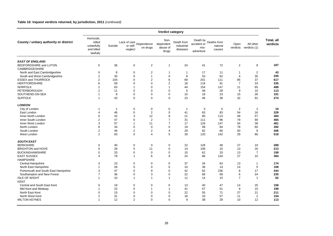#### **Table 10: Inquest verdicts returned, by jurisdiction, 2011** *(continued)*

|                                        | Verdict category                                            |              |                                       |                  |                                        |                                      |                                  |                                           |                  |                           |                        |
|----------------------------------------|-------------------------------------------------------------|--------------|---------------------------------------|------------------|----------------------------------------|--------------------------------------|----------------------------------|-------------------------------------------|------------------|---------------------------|------------------------|
| County / unitary authority or district | Homicide,<br>killed<br>unlawfully<br>and killed<br>lawfully | Suicide      | Lack of care<br>Dependence<br>neglect | on drugs         | Non-<br>dependent<br>abuse of<br>drugs | Death from<br>industrial<br>diseases | accident or<br>mis-<br>adventure | Death by Deaths from<br>natural<br>causes | Open<br>verdicts | All other<br>verdicts (1) | Total, all<br>verdicts |
| <b>EAST OF ENGLAND</b>                 |                                                             |              |                                       |                  |                                        |                                      |                                  |                                           |                  |                           |                        |
| BEDFORDSHIRE and LUTON                 | $\mathbf 0$                                                 | 36           | 0                                     | $\overline{c}$   | $\mathbf{1}$                           | 24                                   | 41                               | 72                                        | $\overline{c}$   | 9                         | 187                    |
| <b>CAMBRIDGESHIRE</b>                  |                                                             |              |                                       |                  |                                        |                                      |                                  |                                           |                  |                           |                        |
| North and East Cambridgeshire          | 0                                                           | 8            | 0                                     | $\sqrt{2}$       | 1                                      | $\mathbf{1}$                         | 17                               | 11                                        | $\overline{1}$   | $\sqrt{2}$                | 43                     |
| South and West Cambridgeshire          | $\overline{2}$                                              | 35           | 0                                     | $\overline{1}$   | $\mathbf 0$                            | 8                                    | 53                               | 62                                        | $\overline{4}$   | 35                        | 200                    |
| <b>ESSEX and THURROCK</b>              | $\overline{2}$                                              | 104          | $\mathbf 0$                           | $\overline{2}$   | 6                                      | 69                                   | 201                              | 111                                       | 85               | 37                        | 617                    |
| <b>HERTFORDSHIRE</b>                   | 6                                                           | 59           | $\Omega$                              | $\mathbf 0$      | $\overline{c}$                         | 18                                   | 119                              | 91                                        | $\overline{7}$   | 33                        | 335                    |
| <b>NORFOLK</b>                         | $\overline{\mathbf{c}}$                                     | 63           | 1                                     | $\mathbf 0$      | $\mathbf{1}$                           | 44                                   | 154                              | 147                                       | 11               | 65                        | 488                    |
| PETERBOROUGH                           | $\boldsymbol{2}$                                            | 11           | 0                                     | $\mathbf 0$      | $\mathbf 0$                            | 5                                    | 48                               | 28                                        | 9                | 10                        | 113                    |
| SOUTHEND-ON-SEA                        | $\mathbf{1}$                                                | 8            | $\mathbf 0$                           | $\mathbf 0$      | $\mathbf 0$                            | 10                                   | 18                               | 23                                        | 15               | 26                        | 101                    |
| <b>SUFFOLK</b>                         | $\mathbf{1}$                                                | 43           | $\mathbf 0$                           | $\mathbf 0$      | $\Omega$                               | 23                                   | 46                               | 38                                        | 32               | 91                        | 274                    |
| <b>LONDON</b>                          |                                                             |              |                                       |                  |                                        |                                      |                                  |                                           |                  |                           |                        |
| City of London                         | 1                                                           | $\mathbf{1}$ | 0                                     | $\mathbf 0$      | 0                                      | $\mathbf{1}$                         | 3                                | $\mathbf 0$                               | $\overline{2}$   | $\overline{2}$            | 10                     |
| East London                            | $\overline{4}$                                              | 46           | $\mathbf 0$                           | $\overline{2}$   | $\mathbf 0$                            | 41                                   | 83                               | 83                                        | 54               | 16                        | 329                    |
| Inner North London                     | 0                                                           | 42           | 3                                     | 12               | 8                                      | 21                                   | 80                               | 113                                       | 48               | 57                        | 384                    |
| Inner South London                     | $\overline{2}$                                              | 47           | 0                                     | $\overline{2}$   | $\overline{7}$                         | 31                                   | 111                              | 96                                        | 79               | 90                        | 465                    |
| Inner West London                      | 3                                                           | 57           | 1                                     | 11               | $\overline{7}$                         | 17                                   | 126                              | 147                                       | 54               | 38                        | 461                    |
| North London                           | 8                                                           | 34           | 0                                     | $\mathbf 0$      | $\Omega$                               | 19                                   | 99                               | 94                                        | 78               | 60                        | 392                    |
| South London                           | $\overline{c}$                                              | 46           | $\overline{c}$                        | $\sqrt{2}$       | 4                                      | 29                                   | 82                               | 80                                        | 50               | 9                         | 306                    |
| West London                            | $\overline{2}$                                              | 93           | $\mathbf 0$                           | $\overline{4}$   | 5                                      | 30                                   | 133                              | 142                                       | 29               | 80                        | 518                    |
| <b>SOUTH EAST</b>                      |                                                             |              |                                       |                  |                                        |                                      |                                  |                                           |                  |                           |                        |
| <b>BERKSHIRE</b>                       | $\mathbf 0$                                                 | 40           | $\mathbf 0$                           | $\mathbf 0$      | $\mathbf 0$                            | 22                                   | 128                              | 48                                        | 27               | 24                        | 289                    |
| <b>BRIGHTON and HOVE</b>               | 0                                                           | 29           | 5                                     | 11               | 0                                      | 14                                   | 106                              | 15                                        | 13               | 20                        | 213                    |
| <b>BUCKINGHAMSHIRE</b>                 | 0                                                           | 33           | 0                                     | $\boldsymbol{0}$ | $\mathbf 0$                            | 10                                   | 62                               | 33                                        | 13               | $\overline{7}$            | 158                    |
| <b>EAST SUSSEX</b>                     | 4                                                           | 78           | 1                                     | 6                | 9                                      | 24                                   | 86                               | 134                                       | 27               | 15                        | 384                    |
| <b>HAMPSHIRE</b>                       |                                                             |              |                                       |                  |                                        |                                      |                                  |                                           |                  |                           |                        |
| Central Hampshire                      | 3                                                           | 23           | $\mathbf 0$                           | $\mathbf 0$      | $\mathbf 0$                            | 37                                   | 34                               | 63                                        | 13               | $\overline{1}$            | 174                    |
| North East Hampshire                   | $\mathbf{1}$                                                | 28           | $\mathbf 0$                           | $\mathbf 0$      | $\mathbf 0$                            | 10                                   | 36                               | 14                                        | 14               | $\sqrt{5}$                | 108                    |
| Portsmouth and South East Hampshire    | 3                                                           | 47           | $\mathbf 0$                           | 9                | $\mathbf 0$                            | 42                                   | 82                               | 236                                       | 8                | 17                        | 444                    |
| Southampton and New Forest             | $\overline{7}$                                              | 36           | $\mathbf 0$                           | 3                | $\mathbf 0$                            | 22                                   | 68                               | 69                                        | 6                | 24                        | 235                    |
| <b>ISLE OF WIGHT</b>                   | $\mathbf{1}$                                                | 10           | $\mathbf{1}$                          | $\mathbf{1}$     | $\mathbf{1}$                           | 11                                   | 14                               | 15                                        | $\overline{7}$   | $\overline{1}$            | 62                     |
| <b>KENT</b>                            |                                                             |              |                                       |                  |                                        |                                      |                                  |                                           |                  |                           |                        |
| Central and South East Kent            | $\mathbf 0$                                                 | 19           | $\mathbf 0$                           | $\mathbf 0$      | $\mathbf 0$                            | 13                                   | 40                               | 47                                        | 14               |                           | 158                    |
|                                        | $\overline{1}$                                              |              |                                       |                  |                                        |                                      |                                  |                                           |                  | 25                        | 199                    |
| Mid Kent and Medway                    |                                                             | 23           | $\mathbf 0$<br>$\Omega$               | $\mathbf{1}$     | $\mathbf{1}$                           | 41                                   | 57                               | 51                                        | 9                | 15                        |                        |
| North East Kent                        | $\mathbf 0$                                                 | 15           |                                       | $\mathbf 0$      | $\mathbf 0$                            | 22                                   | 55                               | 71                                        | 27               | 21                        | 211                    |
| North West Kent                        | $\overline{2}$                                              | 31           | $\mathbf 0$                           | $\mathbf 0$      | $\mathbf 0$                            | 18                                   | 33                               | 57                                        | 11               | $\overline{2}$            | 154                    |
| <b>MILTON KEYNES</b>                   | $\mathbf{1}$                                                | 12           | $\overline{2}$                        | $\mathbf 0$      | $\mathbf 0$                            | 9                                    | 38                               | 29                                        | 10               | 12                        | 113                    |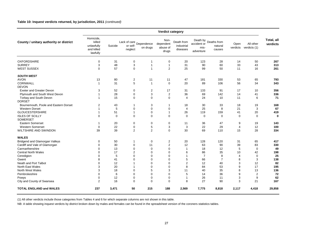#### **Table 10: Inquest verdicts returned, by jurisdiction, 2011** *(continued)*

|                                        | Verdict category                                            |         |                                        |                |                                        |                                      |                                              |                                  |                  |                           |                        |
|----------------------------------------|-------------------------------------------------------------|---------|----------------------------------------|----------------|----------------------------------------|--------------------------------------|----------------------------------------------|----------------------------------|------------------|---------------------------|------------------------|
| County / unitary authority or district | Homicide,<br>killed<br>unlawfully<br>and killed<br>lawfully | Suicide | Lack of care<br>"Dependence<br>neglect | on drugs       | Non-<br>dependent<br>abuse of<br>drugs | Death from<br>industrial<br>diseases | Death by<br>accident or<br>mis-<br>adventure | Deaths from<br>natural<br>causes | Open<br>verdicts | All other<br>verdicts (1) | Total, all<br>verdicts |
| <b>OXFORDSHIRE</b>                     | $\mathbf 0$                                                 | 31      | 0                                      | 1              | 0                                      | 20                                   | 123                                          | 28                               | 14               | 50                        | 267                    |
| <b>SURREY</b>                          | 3                                                           | 48      | 3                                      | $\overline{1}$ | $\overline{1}$                         | 31                                   | 90                                           | 60                               | 33               | 43                        | 313                    |
| <b>WEST SUSSEX</b>                     | $\mathbf 0$                                                 | 57      | 0                                      | $\overline{1}$ | $\overline{2}$                         | 25                                   | 99                                           | 50                               | 11               | 16                        | 261                    |
| <b>SOUTH WEST</b>                      |                                                             |         |                                        |                |                                        |                                      |                                              |                                  |                  |                           |                        |
| <b>AVON</b>                            | 13                                                          | 80      | $\overline{\mathbf{c}}$                | 11             | 11                                     | 47                                   | 181                                          | 330                              | 53               | 65                        | 793                    |
| <b>CORNWALL</b>                        | $\mathbf{1}$                                                | 31      | 5                                      | $\overline{1}$ | $\mathbf 0$                            | 20                                   | 89                                           | 106                              | 56               | 34                        | 343                    |
| <b>DEVON</b>                           |                                                             |         |                                        |                |                                        |                                      |                                              |                                  |                  |                           |                        |
| <b>Exeter and Greater Devon</b>        | 3                                                           | 52      | 0                                      | 2              | 17                                     | 31                                   | 133                                          | 91                               | 17               | 10                        | 356                    |
| Plymouth and South West Devon          | 1                                                           | 28      | 0                                      | 3              | $\overline{2}$                         | 36                                   | 69                                           | 142                              | 14               | 41                        | 336                    |
| Torbay and South Devon                 | 1                                                           | 15      | 0                                      | 0              | $\mathbf 0$                            | $\overline{4}$                       | 24                                           | 10                               | 11               | 6                         | 71                     |
| <b>DORSET</b>                          |                                                             |         |                                        |                |                                        |                                      |                                              |                                  |                  |                           |                        |
| Bournemouth, Poole and Eastern Dorset  | $\overline{2}$                                              | 43      | 1                                      | 3              | 1                                      | 18                                   | 30                                           | 33                               | 18               | 19                        | 168                    |
| <b>Western Dorset</b>                  | 1                                                           | 5       | 0                                      | $\mathbf 0$    | $\mathbf 0$                            | $\overline{4}$                       | 25                                           | 8                                | 21               | 3                         | 67                     |
| <b>GLOUCESTERSHIRE</b>                 | 1                                                           | 51      | $\mathbf{1}$                           | $\mathbf 0$    | $\overline{1}$                         | 26                                   | 119                                          | 159                              | 41               | 20                        | 419                    |
| <b>ISLES OF SCILLY</b><br>SOMERSET     | 0                                                           | 0       | 0                                      | 0              | 0                                      | $\mathbf 0$                          | $\mathbf 0$                                  | $\mathbf 0$                      | $\mathbf 0$      | $\mathbf 0$               | $\bf{0}$               |
| <b>Eastern Somerset</b>                | 1                                                           | 20      | 0                                      | 0              | $\pmb{0}$                              | 11                                   | 36                                           | 47                               | 9                | 19                        | 143                    |
| <b>Western Somerset</b>                | $\mathbf 0$                                                 | 22      | 0                                      | 5              | 3                                      | 3                                    | 22                                           | 29                               | $\overline{4}$   | 12                        | 100                    |
| WILTSHIRE AND SWINDON                  | 39                                                          | 39      | $\overline{2}$                         | $\overline{2}$ | $\mathbf 0$                            | 30                                   | 69                                           | 110                              | 15               | 28                        | 334                    |
| <b>WALES</b>                           |                                                             |         |                                        |                |                                        |                                      |                                              |                                  |                  |                           |                        |
| Bridgend and Glamorgan Valleys         | 0                                                           | 50      | 1                                      | 0              | 2                                      | 20                                   | 128                                          | 120                              | 31               | 65                        | 417                    |
| Cardiff and Vale of Glamorgan          | $\mathbf 0$                                                 | 30      | 0                                      | 11             | $\overline{2}$                         | 12                                   | 63                                           | 90                               | 39               | 83                        | 330                    |
| Carmarthenshire                        | $\Omega$                                                    | 13      | 0                                      | $\mathbf 0$    | $\mathbf 0$                            | $\overline{1}$                       | 18                                           | 12                               | 5                | $\mathbf 0$               | 49                     |
| <b>Central North Wales</b>             | $\Omega$                                                    | 17      | $\overline{2}$                         | 0              | 0                                      | 6                                    | 86                                           | 35                               | 10               | 42                        | 198                    |
| Ceredigion                             | $\Omega$                                                    | 5       | $\Omega$                               | $\Omega$       | $\mathbf 0$                            | $\overline{1}$                       | $\overline{7}$                               | 8                                | $\overline{4}$   | $\mathbf 0$               | 25                     |
| Gwent                                  | 8                                                           | 41      | 0                                      | $\mathbf 0$    | $\mathbf 0$                            | 5                                    | 66                                           | $\overline{7}$                   | 8                | 3                         | 138                    |
| Neath and Port Talbot                  | $\mathbf 0$                                                 | 12      | 1                                      | 0              | 0                                      | $\overline{2}$                       | 12                                           | 40                               | 3                | 12                        | 82                     |
| North East Wales                       | 3                                                           | 20      | 1                                      | 0              | $\mathbf 0$                            | 8                                    | 84                                           | 53                               | 9                | 17                        | 195                    |
| North West Wales                       | 3                                                           | 18      | 0                                      | 5              | 3                                      | 11                                   | 40                                           | 35                               | 8                | 13                        | 136                    |
| Pembrokeshire                          | $\Omega$                                                    | 6       | $\Omega$                               | 0              | $\Omega$                               | 5                                    | 14                                           | 36                               | 9                | $\overline{2}$            | 72                     |
| Powys                                  | $\mathbf 0$                                                 | 12      | 0                                      | 0              | $\mathbf 0$                            | $\overline{1}$                       | 26                                           | 11                               | 3                | 9                         | 62                     |
| City and County of Swansea             | $\overline{2}$                                              | 16      | $\Omega$                               | $\Omega$       | $\Omega$                               | 8                                    | 27                                           | 90                               | 3                | 21                        | 167                    |
| <b>TOTAL ENGLAND and WALES</b>         | 237                                                         | 3,471   | 50                                     | 215            | 188                                    | 2,569                                | 7,775                                        | 8,818                            | 2,117            | 4,418                     | 29,858                 |

(1) All other verdicts include those categories from Tables 4 and 6 for which separate columns are not shown in this table.

NB: A table showing inquest verdicts by district broken down by males and females can be found in the spreadsheet version of the coroners statistics tables.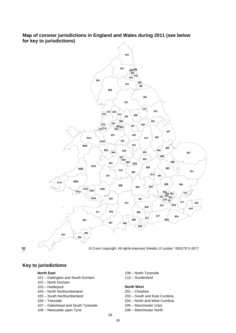## **Map of coroner jurisdictions in England and Wales during 2011 (see below for key to jurisdictions)**



 $\frac{909}{200}$ 

## **Key to jurisdictions**

- 101 Darlington and South Durham 110 Sunderland
- 102 North Durham
- 103 Hartlepool **North West**
- 104 North Northumberland 201 Cheshire
- 
- 
- 107 Gateshead and South Tyneside 205 Manchester (city)
- 108 Newcastle upon Tyne 206 Manchester North
- **North East** 109 North Tyneside

- 
- 105 South Northumberland 203 South and East Cumbria
- 106 Teesside 204 North and West Cumbria
	-
	-

28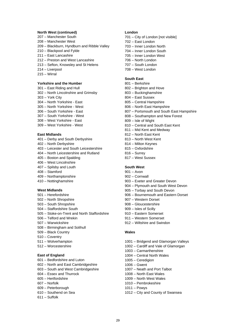#### **North West (continued)**

- 207 Manchester South
- 208 Manchester West
- 209 Blackburn, Hyndburn and Ribble Valley
- 210 Blackpool and Fylde
- 211 East Lancashire
- 212 Preston and West Lancashire
- 213 Sefton, Knowsley and St Helens
- 214 Liverpool
- 215 Wirral

### **Yorkshire and the Humber**

- 301 East Riding and Hull
- 302 North Lincolnshire and Grimsby
- 303 York City
- 304 North Yorkshire East
- 305 North Yorkshire West
- 306 South Yorkshire East
- 307 South Yorkshire West
- 308 West Yorkshire East
- 309 West Yorkshire West

#### **East Midlands**

- 401 Derby and South Derbyshire
- 402 North Derbyshire
- 403 Leicester and South Leicestershire
- 404 North Leicestershire and Rutland
- 405 Boston and Spalding
- 406 West Lincolnshire
- 407 Spilsby and Louth
- 408 Stamford
- 409 Northamptonshire
- 410 Nottinghamshire

#### **West Midlands**

- 501 Herefordshire
- 502 North Shropshire
- 503 South Shropshire
- 504 Staffordshire South
- 505 Stoke-on-Trent and North Staffordshire
- 506 Telford and Wrekin
- 507 Warwickshire
- 508 Birmingham and Solihull
- 509 Black Country
- 510 Coventry
- 511 Wolverhampton
- 512 Worcestershire

#### **East of England**

- 601 Bedfordshire and Luton
- 602 North and East Cambridgeshire
- 603 South and West Cambridgeshire
- 604 Essex and Thurrock
- 605 Hertfordshire
- 607 Norfolk
- 609 Peterborough
- 610 Southend on Sea
- 611 Suffolk

#### **London**

- 701 City of London [not visible]
- 702 East London
- 703 Inner London North
- 704 Inner London South
- 705 Inner London West
- 706 North London
- 707 South London
- 708 West London

#### **South East**

- 801 Berkshire
- 802 Brighton and Hove
- 803 Buckinghamshire
- 804 East Sussex
- 805 Central Hampshire
- 806 North East Hampshire
- 807 Portsmouth and South East Hampshire
- 808 Southampton and New Forest
- 809 Isle of Wight
- 810 Central and South East Kent
- 811 Mid Kent and Medway
- 812 North East Kent
- 813 North West Kent
- 814 Milton Keynes
- 815 Oxfordshire
- 816 Surrey
- 817 West Sussex

### **South West**

- 901 Avon
- 902 Cornwall
- 903 Exeter and Greater Devon
- 904 Plymouth and South West Devon
- 905 Torbay and South Devon
- 906 Bournemouth and Eastern Dorset
- 907 Western Dorset
- 908 Gloucestershire
- 909 Isles of Scilly
- 910 Eastern Somerset
- 911 Western Somerset
- 912 Wiltshire and Swindon

#### **Wales**

- 1001 Bridgend and Glamorgan Valleys
- 1002 Cardiff and Vale of Glamorgan
- 1003 Carmarthenshire
- 1004 Central North Wales

1007 – Neath and Port Talbot 1008 – North East Wales 1009 – North West Wales 1010 – Pembrokeshire

1012 – City and County of Swansea

1005 – Ceredigion 1006 – Gwent

1011 – Powys

 $29$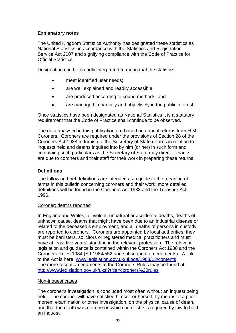## **Explanatory notes**

The United Kingdom Statistics Authorit y has designated these statistics as National Statistics, in accordance with the Statistics and Registration Service Act 2007 and signifying compliance with the Code of Practice for Official Statistics.

Designation can be broadly interpreted to mean that the statistics:

- meet identified user needs;
- are well explained and readily accessible;
- $\bullet$ are produced according to sound methods, and
- are managed impartially and objectively in the public interest.

Once statistics have been designated as National Statistics it is a statutory requirement that the Code of Practice shall continue to be observed.

The data analysed in this publication are based on annual returns from H.M. Coroners. Coroners are required under the provisions of Section 28 of the Coroners Act 1988 to furnish to the Secretary of State returns in relation to inquests held and deaths inquired into by him (or her) in such form and containing such particulars as the Secretary of State may direct. Thanks are due to coroners and their staff for their work in preparing these returns.

## **Definitions**

The following brief definitions are intended as a guide to the meaning of terms in this bulletin concerning coroners and their work; more detailed definitions will be found in the Coroners Act 1988 and the Treasure Act 1996.

### Coroner; deaths reported

In England and Wales, all violent, unnatural or accidental deaths, deaths of unknown cause, deaths that might have been due to an industrial disease or related to the deceased's employment, and all deaths of persons in custody, are reported to coroners. Coroners are appointed by local authorities; they must be barristers, solicitors or registered medical practitioners and must have at least five years' standing in the relevant profession. The relevant legislation and guidance is contained within the Coroners Act 1988 and the Coroners Rules 1984 (S.I 1984/552 and subsequent amendments). A link to the Act is here: [www.legislation.gov.uk/ukpga/1988/13/contents](http://www.legislation.gov.uk/ukpga/1988/13/contents) The more recent amendments to the Coroners Rules may be found at: <http://www.legislation.gov.uk/uksi?title=coroners%20rules>

### Non-inquest cases

The coroner's investigation is concluded most often without an inquest being held. The coroner will have satisfied himself or herself, by means of a postmortem examination or other investigation, on the physical cause of death, and that the death was not one on which he or she is required by law to hold an inquest.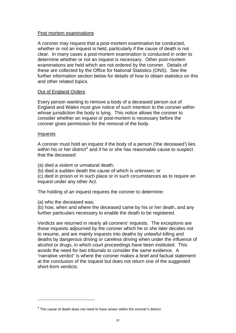### Post mortem examinations

A coroner may request that a post-mortem examination be conducted, whether or not an inquest is held, particularly if the cause of death is not clear. In many cases a post-mortem examination is conducted in order to determine whether or not an inquest is necessary. Other post-mortem examinations are held which are not ordered by the coroner. Details of these are collected by the Office for National Statistics (ONS). See the further information section below for details of how to obtain statistics on this and other related topics.

## Out of England Orders

Every person wanting to remove a body of a deceased person out of England and Wales must give notice of such intention to the coroner within whose jurisdiction the body is lying. This notice allows the coroner to consider whether an inquest or post-mortem is necessary before the coroner gives permission for the removal of the body.

### Inquests

1

A coroner must hold an inquest if the body of a person ('the deceased') lies within his or her district<sup>[4](#page-33-0)</sup> and if he or she has reasonable cause to suspect that the deceased:

(a) died a violent or unnatural death;

(b) died a sudden death the cause of which is unknown; or

(c) died in prison or in such place or in such circumstances as to require an inquest under any other Act.

The holding of an inquest requires the coroner to determine:

(a) who the deceased was;

(b) how, when and where the deceased came by his or her death, and any further particulars necessary to enable the death to be registered.

Verdicts are returned in nearly all coroners' inquests. The exceptions are those inquests adjourned by the coroner which he or she later decides not to resume, and are mainly inquests into deaths by unlawful killing and deaths by dangerous driving or careless driving when under the influence of alcohol or drugs, in which court proceedings have been instituted. This avoids the need for two tribunals to consider the same evidence. A "narrative verdict" is where the coroner makes a brief and factual statement at the conclusion of the inquest but does not return one of the suggested short-form verdicts.

 $4$  The cause of death does not need to have arisen within the coroner's district.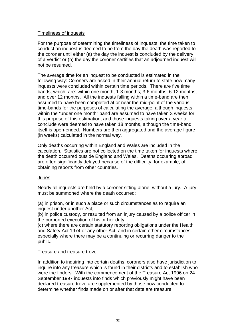## Timeliness of inquests

For the purpose of determining the timeliness of inquests, the time taken to conduct an inquest is deemed to be from the day the death was reported to the coroner until either (a) the day the inquest is concluded by the delivery of a verdict or (b) the day the coroner certifies that an adjourned inquest will not be resumed.

The average time for an inquest to be conducted is estimated in the following way: Coroners are asked in their annual return to state how many inquests were concluded within certain time periods. There are five time bands, which are: within one month; 1-3 months; 3-6 months; 6-12 months; and over 12 months. All the inquests falling within a time-band are then assumed to have been completed at or near the mid-point of the various time-bands for the purposes of calculating the average, although inquests within the "under one month" band are assumed to have taken 3 weeks for this purpose of this estimation, and those inquests taking over a year to conclude were deemed to have taken 18 months, although the time-band itself is open-ended. Numbers are then aggregated and the average figure (in weeks) calculated in the normal way.

Only deaths occurring within England and Wales are included in the calculation. Statistics are not collected on the time taken for inquests where the death occurred outside England and Wales. Deaths occurring abroad are often significantly delayed because of the difficulty, for example, of obtaining reports from other countries.

### Juries

Nearly all inquests are held by a coroner sitting alone, without a jury. A jury must be summoned where the death occurred:

(a) in prison, or in such a place or such circumstances as to require an inquest under another Act;

(b) in police custody, or resulted from an injury caused by a police officer in the purported execution of his or her duty;

(c) where there are certain statutory reporting obligations under the Health and Safety Act 1974 or any other Act, and in certain other circumstances, especially where there may be a continuing or recurring danger to the public.

## Treasure and treasure trove

<span id="page-33-0"></span>In addition to inquiring into certain deaths, coroners also have jurisdiction to inquire into any treasure which is found in their districts and to establish who were the finders. With the commencement of the Treasure Act 1996 on 24 September 1997 inquests into finds which previously might have been declared treasure trove are supplemented by those now conducted to determine whether finds made on or after that date are treasure.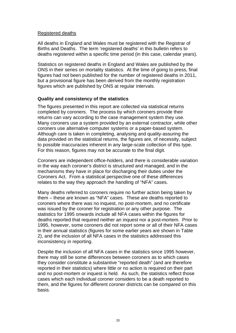## Registered deaths

All deaths in England and Wales must be registered with the Registrar of Births and Deaths. The term 'registered deaths' in this bulletin refers to deaths registered within a specific time period (in this case, calendar years).

Statistics on registered deaths in England and Wales are published by the ONS in their series on mortality statistics. At the time of going to press, final figures had not been published for the number of registered deaths in 2011, but a provisional figure has been derived from the monthly registration figures which are published by ONS at regular intervals.

## **Quality and consistency of the statistics**

The figures presented in this report are collected via statistical returns completed by coroners. The process by which coroners provide their returns can vary according to the case management system they use. Many coroners use a system provided by an external contractor, while other coroners use alternative computer systems or a paper-based system. Although care is taken in completing, analysing and quality-assuring the data provided on the statistical returns, the figures are, of necessity, subject to possible inaccuracies inherent in any large-scale collection of this type. For this reason, figures may not be accurate to the final digit.

Coroners are independent office-holders, and there is considerable variation in the way each coroner's district is structured and managed, and in the mechanisms they have in place for discharging their duties under the Coroners Act. From a statistical perspective one of these differences relates to the way they approach the handling of "NFA" cases.

Many deaths referred to coroners require no further action being taken by them – these are known as "NFA" cases. These are deaths reported to coroners where there was no inquest, no post-mortem, and no certificate was issued by the coroner for registration or any other purpose. The statistics for 1995 onwards include all NFA cases within the figures for deaths reported that required neither an inquest nor a post-mortem. Prior to 1995, however, some coroners did not report some or all of their NFA cases in their annual statistics (figures for some earlier years are shown in Table 2), and the inclusion of all NFA cases in the statistics addressed this inconsistency in reporting.

Despite the inclusion of all NFA cases in the statistics since 1995 however, there may still be some differences between coroners as to which cases they consider constitute a substantive "reported death" (and are therefore reported in their statistics) where little or no action is required on their part and no post-mortem or inquest is held. As such, the statistics reflect those cases which each individual coroner considers to be a death reported to them, and the figures for different coroner districts can be compared on this basis.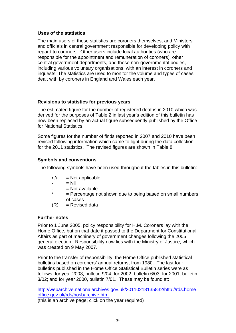## **Uses of the statistics**

The main users of these statistics are coroners themselves, and Ministers and officials in central government responsible for developing policy with regard to coroners. Other users include local authorities (who are responsible for the appointment and remuneration of coroners), other central government departments, and those non-governmental bodies, including various voluntary organisations, with an interest in coroners and inquests. The statistics are used to monitor the volume and types of cases dealt with by coroners in England and Wales each year.

## **Revisions to statistics for previous years**

The estimated figure for the number of registered deaths in 2010 which was derived for the purposes of Table 2 in last year's edition of this bulletin has now been replaced by an actual figure subsequently published by the Office for National Statistics.

Some figures for the number of finds reported in 2007 and 2010 have been revised following information which came to light during the data collection for the 2011 statistics. The revised figures are shown in Table 8.

## **Symbols and conventions**

The following symbols have been used throughout the tables in this bulletin:

- $n/a$  = Not applicable
- $=$  Nil
- $=$  Not available
- $=$  Percentage not shown due to being based on small numbers of cases
- $(R)$  = Revised data

## **Further notes**

Prior to 1 June 2005, policy responsibility for H.M. Coroners lay with the Home Office, but on that date it passed to the Department for Constitutional Affairs as part of machinery of government changes following the 2005 general election. Responsibility now lies with the Ministry of Justice, which was created on 9 May 2007.

Prior to the transfer of responsibility, the Home Office published statistical bulletins based on coroners' annual returns, from 1980. The last four bulletins published in the Home Office Statistical Bulletin series were as follows: for year 2003, bulletin 9/04; for 2002, bulletin 6/03; for 2001, bulletin 3/02; and for year 2000, bulletin 7/01. These may be found at:

[http://webarchive.nationalarchives.gov.uk/20110218135832/http://rds.home](http://webarchive.nationalarchives.gov.uk/20110218135832/http://rds.homeoffice.gov.uk/rds/hosbarchive.html) [office.gov.uk/rds/hosbarchive.html](http://webarchive.nationalarchives.gov.uk/20110218135832/http://rds.homeoffice.gov.uk/rds/hosbarchive.html) (this is an archive page; click on the year required)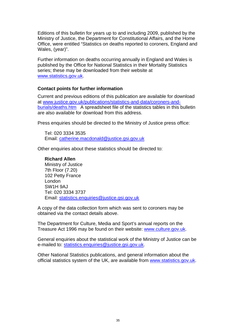Editions of this bulletin for years up to and including 2009, published by the Ministry of Justice, the Department for Constitutional Affairs, and the Home Office, were entitled "Statistics on deaths reported to coroners, England and Wales, (year)".

Further information on deaths occurring annually in England and Wales is published by the Office for National Statistics in their Mortality Statistics series; these may be downloaded from their website at [www.statistics.gov.uk.](http://www.statistics.gov.uk/)

## **Contact points for further information**

Current and previous editions of this publication are available for download at [www.justice.gov.uk/publications/statistics-and-data/coroners-and](http://www.justice.gov.uk/publications/statistics-and-data/coroners-and-burials/deaths.htm)[burials/deaths.htm](http://www.justice.gov.uk/publications/statistics-and-data/coroners-and-burials/deaths.htm) A spreadsheet file of the statistics tables in this bulletin are also available for download from this address.

Press enquiries should be directed to the Ministry of Justice press office:

Tel: 020 3334 3535 Email: [catherine.macdonald@justice.gsi.gov.uk](mailto:catherine.macdonald@justice.gsi.gov.uk)

Other enquiries about these statistics should be directed to:

## **Richard Allen**

Ministry of Justice 7th Floor (7.20) 102 Petty France London SW1H 9AJ Tel: 020 3334 3737 Email: [statistics.enquiries@justice.gsi.gov.uk](mailto:statistics.enquiries@justice.gsi.gov.uk)

A copy of the data collection form which was sent to coroners may be obtained via the contact details above.

The Department for Culture, Media and Sport's annual reports on the Treasure Act 1996 may be found on their website: [www.culture.gov.uk.](http://www.culture.gov.uk/)

General enquiries about the statistical work of the Ministry of Justice can be e-mailed to: [statistics.enquiries@justice.gsi.gov.uk](mailto:statistics.enquiries@justice.gsi.gov.uk).

Other National Statistics publications, and general information about the official statistics system of the UK, are available from [www.statistics.gov.uk](http://www.statistics.gov.uk/).